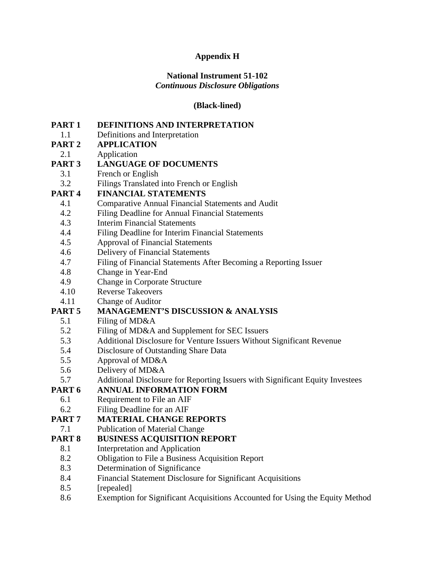# **Appendix H**

# **National Instrument 51-102**  *Continuous Disclosure Obligations*

## **(Black-lined)**

# **PART 1 DEFINITIONS AND INTERPRETATION**

- 1.1 Definitions and Interpretation
- **PART 2 APPLICATION**
	- 2.1 Application

# **PART 3 LANGUAGE OF DOCUMENTS**

- 3.1 French or English
- 3.2 Filings Translated into French or English

# **PART 4 FINANCIAL STATEMENTS**

- 4.1 Comparative Annual Financial Statements and Audit
- 4.2 Filing Deadline for Annual Financial Statements
- 4.3 Interim Financial Statements
- 4.4 Filing Deadline for Interim Financial Statements
- 4.5 Approval of Financial Statements
- 4.6 Delivery of Financial Statements
- 4.7 Filing of Financial Statements After Becoming a Reporting Issuer
- 4.8 Change in Year-End
- 4.9 Change in Corporate Structure
- 4.10 Reverse Takeovers
- 4.11 Change of Auditor

# **PART 5 MANAGEMENT'S DISCUSSION & ANALYSIS**

- 5.1 Filing of MD&A
- 5.2 Filing of MD&A and Supplement for SEC Issuers
- 5.3 Additional Disclosure for Venture Issuers Without Significant Revenue
- 5.4 Disclosure of Outstanding Share Data
- 5.5 Approval of MD&A
- 5.6 Delivery of MD&A
- 5.7 Additional Disclosure for Reporting Issuers with Significant Equity Investees

# **PART 6 ANNUAL INFORMATION FORM**

- 6.1 Requirement to File an AIF
- 6.2 Filing Deadline for an AIF

# **PART 7 MATERIAL CHANGE REPORTS**

7.1 Publication of Material Change

# **PART 8 BUSINESS ACQUISITION REPORT**

- 8.1 Interpretation and Application
- 8.2 Obligation to File a Business Acquisition Report
- 8.3 Determination of Significance
- 8.4 Financial Statement Disclosure for Significant Acquisitions
- 8.5 [repealed]
- 8.6 Exemption for Significant Acquisitions Accounted for Using the Equity Method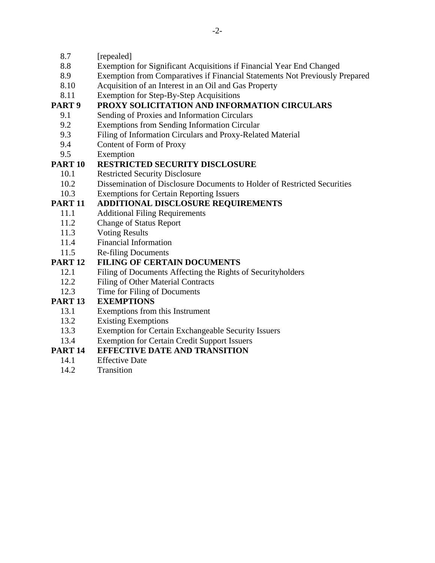- 8.8 Exemption for Significant Acquisitions if Financial Year End Changed
- 8.9 Exemption from Comparatives if Financial Statements Not Previously Prepared
- 8.10 Acquisition of an Interest in an Oil and Gas Property<br>8.11 Exemption for Step-By-Step Acquisitions
- Exemption for Step-By-Step Acquisitions

# **PART 9 PROXY SOLICITATION AND INFORMATION CIRCULARS**

- 9.1 Sending of Proxies and Information Circulars
- 9.2 Exemptions from Sending Information Circular
- 9.3 Filing of Information Circulars and Proxy-Related Material
- 9.4 Content of Form of Proxy
- 9.5 Exemption

# **PART 10 RESTRICTED SECURITY DISCLOSURE**

- 10.1 Restricted Security Disclosure
- 10.2 Dissemination of Disclosure Documents to Holder of Restricted Securities
- 10.3 Exemptions for Certain Reporting Issuers

# **PART 11 ADDITIONAL DISCLOSURE REQUIREMENTS**

- 11.1 Additional Filing Requirements
- 11.2 Change of Status Report
- 11.3 Voting Results
- 11.4 Financial Information
- 11.5 Re-filing Documents

# **PART 12 FILING OF CERTAIN DOCUMENTS**

- 12.1 Filing of Documents Affecting the Rights of Securityholders
- 12.2 Filing of Other Material Contracts
- 12.3 Time for Filing of Documents

# **PART 13 EXEMPTIONS**

- 13.1 Exemptions from this Instrument
- 13.2 Existing Exemptions
- 13.3 Exemption for Certain Exchangeable Security Issuers
- 13.4 Exemption for Certain Credit Support Issuers

# **PART 14 EFFECTIVE DATE AND TRANSITION**

- 14.1 Effective Date
- 14.2 Transition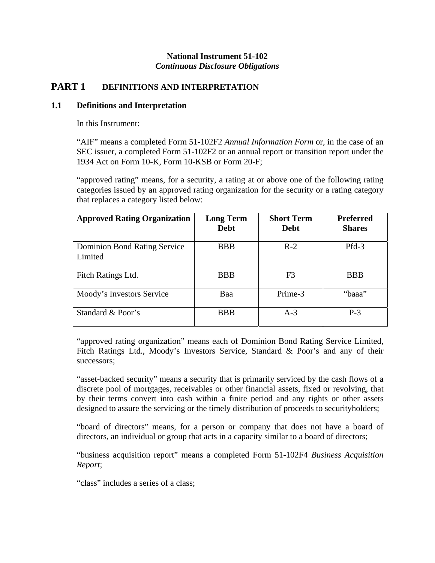#### **National Instrument 51-102**  *Continuous Disclosure Obligations*

# **PART 1 DEFINITIONS AND INTERPRETATION**

#### **1.1 Definitions and Interpretation**

In this Instrument:

"AIF" means a completed Form 51-102F2 *Annual Information Form* or, in the case of an SEC issuer, a completed Form 51-102F2 or an annual report or transition report under the 1934 Act on Form 10-K, Form 10-KSB or Form 20-F;

"approved rating" means, for a security, a rating at or above one of the following rating categories issued by an approved rating organization for the security or a rating category that replaces a category listed below:

| <b>Approved Rating Organization</b>            | <b>Long Term</b><br><b>Debt</b> | <b>Short Term</b><br><b>Debt</b> | <b>Preferred</b><br><b>Shares</b> |
|------------------------------------------------|---------------------------------|----------------------------------|-----------------------------------|
| <b>Dominion Bond Rating Service</b><br>Limited | <b>BBB</b>                      | $R-2$                            | $Pfd-3$                           |
| Fitch Ratings Ltd.                             | <b>BBB</b>                      | F3                               | <b>BBB</b>                        |
| Moody's Investors Service                      | Baa                             | Prime-3                          | "baaa"                            |
| Standard & Poor's                              | <b>BBB</b>                      | $A-3$                            | $P-3$                             |

"approved rating organization" means each of Dominion Bond Rating Service Limited, Fitch Ratings Ltd., Moody's Investors Service, Standard & Poor's and any of their successors;

"asset-backed security" means a security that is primarily serviced by the cash flows of a discrete pool of mortgages, receivables or other financial assets, fixed or revolving, that by their terms convert into cash within a finite period and any rights or other assets designed to assure the servicing or the timely distribution of proceeds to securityholders;

"board of directors" means, for a person or company that does not have a board of directors, an individual or group that acts in a capacity similar to a board of directors;

"business acquisition report" means a completed Form 51-102F4 *Business Acquisition Report*;

"class" includes a series of a class;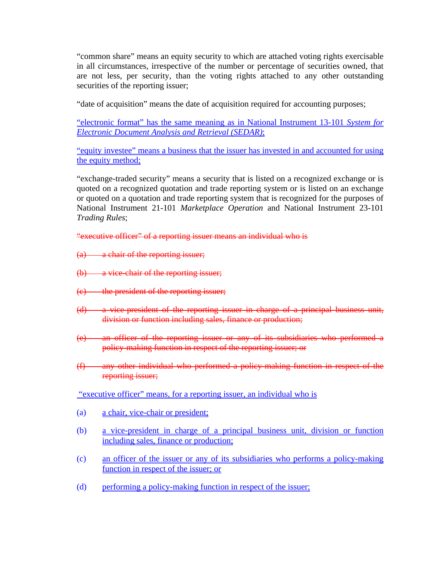"common share" means an equity security to which are attached voting rights exercisable in all circumstances, irrespective of the number or percentage of securities owned, that are not less, per security, than the voting rights attached to any other outstanding securities of the reporting issuer;

"date of acquisition" means the date of acquisition required for accounting purposes;

"electronic format" has the same meaning as in National Instrument 13-101 *System for Electronic Document Analysis and Retrieval (SEDAR)*;

"equity investee" means a business that the issuer has invested in and accounted for using the equity method:

"exchange-traded security" means a security that is listed on a recognized exchange or is quoted on a recognized quotation and trade reporting system or is listed on an exchange or quoted on a quotation and trade reporting system that is recognized for the purposes of National Instrument 21-101 *Marketplace Operation* and National Instrument 23-101 *Trading Rules*;

"executive officer" of a reporting issuer means an individual who is

(a) a chair of the reporting issuer;

- (b) a vice-chair of the reporting issuer;
- (c) the president of the reporting issuer;
- (d) a vice-president of the reporting issuer in charge of a principal business unit, division or function including sales, finance or production;
- (e) an officer of the reporting issuer or any of its subsidiaries who performed a policy-making function in respect of the reporting issuer; or
- (f) any other individual who performed a policy-making function in respect of the reporting issuer;

# "executive officer" means, for a reporting issuer, an individual who is

- (a) a chair, vice-chair or president;
- (b) a vice-president in charge of a principal business unit, division or function including sales, finance or production;
- (c) an officer of the issuer or any of its subsidiaries who performs a policy-making function in respect of the issuer; or
- (d) performing a policy-making function in respect of the issuer;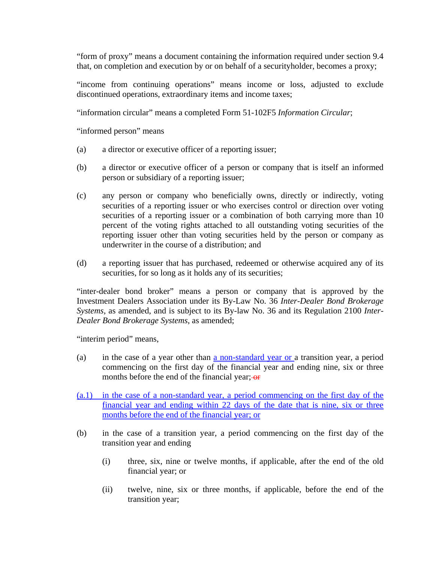"form of proxy" means a document containing the information required under section 9.4 that, on completion and execution by or on behalf of a securityholder, becomes a proxy;

"income from continuing operations" means income or loss, adjusted to exclude discontinued operations, extraordinary items and income taxes;

"information circular" means a completed Form 51-102F5 *Information Circular*;

"informed person" means

- (a) a director or executive officer of a reporting issuer;
- (b) a director or executive officer of a person or company that is itself an informed person or subsidiary of a reporting issuer;
- (c) any person or company who beneficially owns, directly or indirectly, voting securities of a reporting issuer or who exercises control or direction over voting securities of a reporting issuer or a combination of both carrying more than 10 percent of the voting rights attached to all outstanding voting securities of the reporting issuer other than voting securities held by the person or company as underwriter in the course of a distribution; and
- (d) a reporting issuer that has purchased, redeemed or otherwise acquired any of its securities, for so long as it holds any of its securities;

"inter-dealer bond broker" means a person or company that is approved by the Investment Dealers Association under its By-Law No. 36 *Inter-Dealer Bond Brokerage Systems*, as amended, and is subject to its By-law No. 36 and its Regulation 2100 *Inter-Dealer Bond Brokerage Systems*, as amended;

"interim period" means,

- (a) in the case of a year other than a non-standard year or a transition year, a period commencing on the first day of the financial year and ending nine, six or three months before the end of the financial year; or
- (a.1) in the case of a non-standard year, a period commencing on the first day of the financial year and ending within 22 days of the date that is nine, six or three months before the end of the financial year; or
- (b) in the case of a transition year, a period commencing on the first day of the transition year and ending
	- (i) three, six, nine or twelve months, if applicable, after the end of the old financial year; or
	- (ii) twelve, nine, six or three months, if applicable, before the end of the transition year;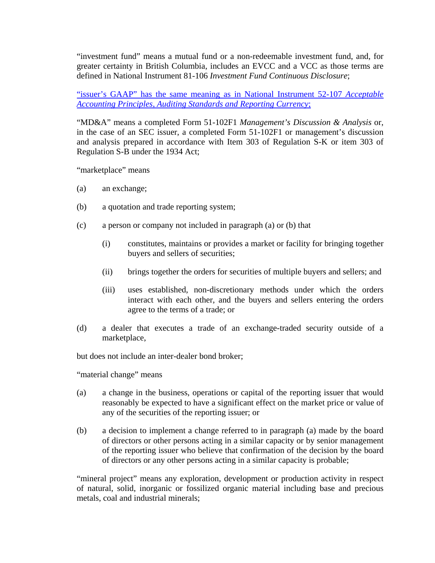"investment fund" means a mutual fund or a non-redeemable investment fund, and, for greater certainty in British Columbia, includes an EVCC and a VCC as those terms are defined in National Instrument 81-106 *Investment Fund Continuous Disclosure*;

"issuer's GAAP" has the same meaning as in National Instrument 52-107 *Acceptable Accounting Principles, Auditing Standards and Reporting Currency*;

"MD&A" means a completed Form 51-102F1 *Management's Discussion & Analysis* or, in the case of an SEC issuer, a completed Form 51-102F1 or management's discussion and analysis prepared in accordance with Item 303 of Regulation S-K or item 303 of Regulation S-B under the 1934 Act;

"marketplace" means

- (a) an exchange;
- (b) a quotation and trade reporting system;
- (c) a person or company not included in paragraph (a) or (b) that
	- (i) constitutes, maintains or provides a market or facility for bringing together buyers and sellers of securities;
	- (ii) brings together the orders for securities of multiple buyers and sellers; and
	- (iii) uses established, non-discretionary methods under which the orders interact with each other, and the buyers and sellers entering the orders agree to the terms of a trade; or
- (d) a dealer that executes a trade of an exchange-traded security outside of a marketplace,

but does not include an inter-dealer bond broker;

"material change" means

- (a) a change in the business, operations or capital of the reporting issuer that would reasonably be expected to have a significant effect on the market price or value of any of the securities of the reporting issuer; or
- (b) a decision to implement a change referred to in paragraph (a) made by the board of directors or other persons acting in a similar capacity or by senior management of the reporting issuer who believe that confirmation of the decision by the board of directors or any other persons acting in a similar capacity is probable;

"mineral project" means any exploration, development or production activity in respect of natural, solid, inorganic or fossilized organic material including base and precious metals, coal and industrial minerals;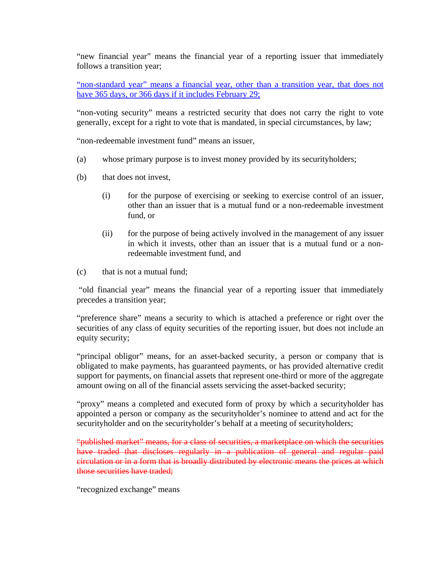"new financial year" means the financial year of a reporting issuer that immediately follows a transition year;

"non-standard year" means a financial year, other than a transition year, that does not have 365 days, or 366 days if it includes February 29;

"non-voting security" means a restricted security that does not carry the right to vote generally, except for a right to vote that is mandated, in special circumstances, by law;

"non-redeemable investment fund" means an issuer,

- (a) whose primary purpose is to invest money provided by its securityholders;
- (b) that does not invest,
	- (i) for the purpose of exercising or seeking to exercise control of an issuer, other than an issuer that is a mutual fund or a non-redeemable investment fund, or
	- (ii) for the purpose of being actively involved in the management of any issuer in which it invests, other than an issuer that is a mutual fund or a nonredeemable investment fund, and
- (c) that is not a mutual fund;

 "old financial year" means the financial year of a reporting issuer that immediately precedes a transition year;

"preference share" means a security to which is attached a preference or right over the securities of any class of equity securities of the reporting issuer, but does not include an equity security;

"principal obligor" means, for an asset-backed security, a person or company that is obligated to make payments, has guaranteed payments, or has provided alternative credit support for payments, on financial assets that represent one-third or more of the aggregate amount owing on all of the financial assets servicing the asset-backed security;

"proxy" means a completed and executed form of proxy by which a securityholder has appointed a person or company as the securityholder's nominee to attend and act for the securityholder and on the securityholder's behalf at a meeting of securityholders;

"published market" means, for a class of securities, a marketplace on which the securities have traded that discloses regularly in a publication of general and regular paid circulation or in a form that is broadly distributed by electronic means the prices at which those securities have traded;

"recognized exchange" means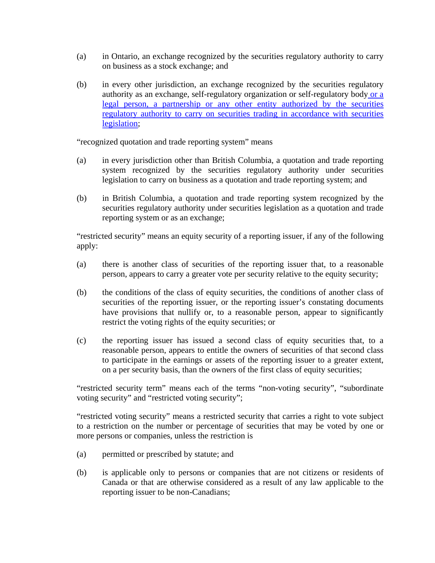- (a) in Ontario, an exchange recognized by the securities regulatory authority to carry on business as a stock exchange; and
- (b) in every other jurisdiction, an exchange recognized by the securities regulatory authority as an exchange, self-regulatory organization or self-regulatory body or a legal person, a partnership or any other entity authorized by the securities regulatory authority to carry on securities trading in accordance with securities legislation;

"recognized quotation and trade reporting system" means

- (a) in every jurisdiction other than British Columbia, a quotation and trade reporting system recognized by the securities regulatory authority under securities legislation to carry on business as a quotation and trade reporting system; and
- (b) in British Columbia, a quotation and trade reporting system recognized by the securities regulatory authority under securities legislation as a quotation and trade reporting system or as an exchange;

"restricted security" means an equity security of a reporting issuer, if any of the following apply:

- (a) there is another class of securities of the reporting issuer that, to a reasonable person, appears to carry a greater vote per security relative to the equity security;
- (b) the conditions of the class of equity securities, the conditions of another class of securities of the reporting issuer, or the reporting issuer's constating documents have provisions that nullify or, to a reasonable person, appear to significantly restrict the voting rights of the equity securities; or
- (c) the reporting issuer has issued a second class of equity securities that, to a reasonable person, appears to entitle the owners of securities of that second class to participate in the earnings or assets of the reporting issuer to a greater extent, on a per security basis, than the owners of the first class of equity securities;

"restricted security term" means each of the terms "non-voting security", "subordinate voting security" and "restricted voting security";

"restricted voting security" means a restricted security that carries a right to vote subject to a restriction on the number or percentage of securities that may be voted by one or more persons or companies, unless the restriction is

- (a) permitted or prescribed by statute; and
- (b) is applicable only to persons or companies that are not citizens or residents of Canada or that are otherwise considered as a result of any law applicable to the reporting issuer to be non-Canadians;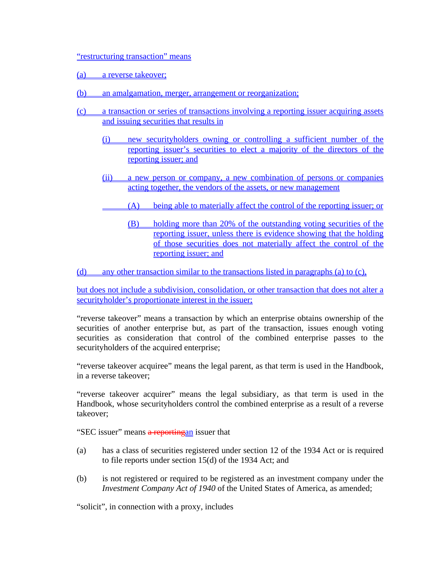"restructuring transaction" means

(a) a reverse takeover;

- (b) an amalgamation, merger, arrangement or reorganization;
- (c) a transaction or series of transactions involving a reporting issuer acquiring assets and issuing securities that results in
	- (i) new securityholders owning or controlling a sufficient number of the reporting issuer's securities to elect a majority of the directors of the reporting issuer; and
	- (ii) a new person or company, a new combination of persons or companies acting together, the vendors of the assets, or new management
		- (A) being able to materially affect the control of the reporting issuer; or
			- (B) holding more than 20% of the outstanding voting securities of the reporting issuer, unless there is evidence showing that the holding of those securities does not materially affect the control of the reporting issuer; and

(d) any other transaction similar to the transactions listed in paragraphs (a) to (c),

but does not include a subdivision, consolidation, or other transaction that does not alter a securityholder's proportionate interest in the issuer;

"reverse takeover" means a transaction by which an enterprise obtains ownership of the securities of another enterprise but, as part of the transaction, issues enough voting securities as consideration that control of the combined enterprise passes to the securityholders of the acquired enterprise;

"reverse takeover acquiree" means the legal parent, as that term is used in the Handbook, in a reverse takeover;

"reverse takeover acquirer" means the legal subsidiary, as that term is used in the Handbook, whose securityholders control the combined enterprise as a result of a reverse takeover;

"SEC issuer" means a reporting an issuer that

- (a) has a class of securities registered under section 12 of the 1934 Act or is required to file reports under section 15(d) of the 1934 Act; and
- (b) is not registered or required to be registered as an investment company under the *Investment Company Act of 1940* of the United States of America, as amended;

"solicit", in connection with a proxy, includes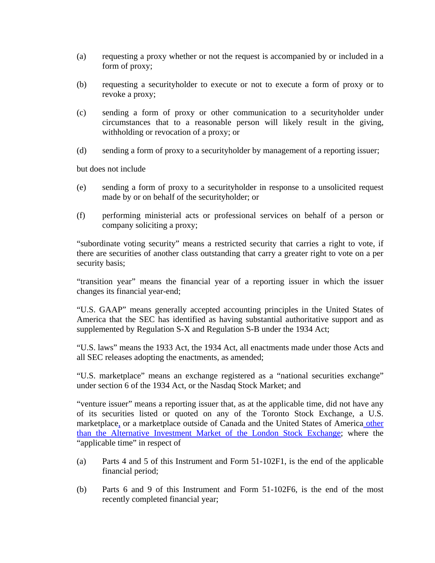- (a) requesting a proxy whether or not the request is accompanied by or included in a form of proxy;
- (b) requesting a securityholder to execute or not to execute a form of proxy or to revoke a proxy;
- (c) sending a form of proxy or other communication to a securityholder under circumstances that to a reasonable person will likely result in the giving, withholding or revocation of a proxy; or
- (d) sending a form of proxy to a securityholder by management of a reporting issuer;

but does not include

- (e) sending a form of proxy to a securityholder in response to a unsolicited request made by or on behalf of the securityholder; or
- (f) performing ministerial acts or professional services on behalf of a person or company soliciting a proxy;

"subordinate voting security" means a restricted security that carries a right to vote, if there are securities of another class outstanding that carry a greater right to vote on a per security basis;

"transition year" means the financial year of a reporting issuer in which the issuer changes its financial year-end;

"U.S. GAAP" means generally accepted accounting principles in the United States of America that the SEC has identified as having substantial authoritative support and as supplemented by Regulation S-X and Regulation S-B under the 1934 Act;

"U.S. laws" means the 1933 Act, the 1934 Act, all enactments made under those Acts and all SEC releases adopting the enactments, as amended;

"U.S. marketplace" means an exchange registered as a "national securities exchange" under section 6 of the 1934 Act, or the Nasdaq Stock Market; and

"venture issuer" means a reporting issuer that, as at the applicable time, did not have any of its securities listed or quoted on any of the Toronto Stock Exchange, a U.S. marketplace, or a marketplace outside of Canada and the United States of America other than the Alternative Investment Market of the London Stock Exchange; where the "applicable time" in respect of

- (a) Parts 4 and 5 of this Instrument and Form 51-102F1, is the end of the applicable financial period;
- (b) Parts 6 and 9 of this Instrument and Form 51-102F6, is the end of the most recently completed financial year;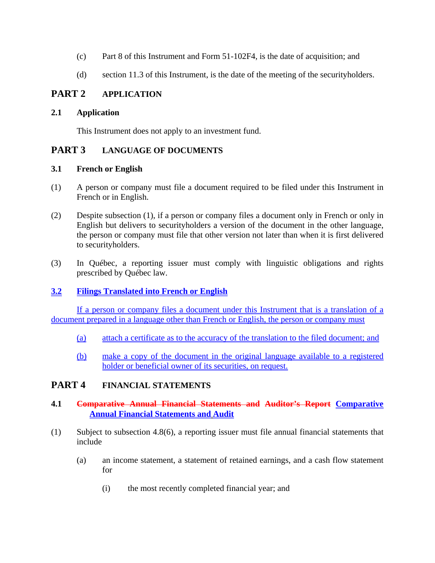- (c) Part 8 of this Instrument and Form 51-102F4, is the date of acquisition; and
- (d) section 11.3 of this Instrument, is the date of the meeting of the securityholders.

# **PART 2 APPLICATION**

#### **2.1 Application**

This Instrument does not apply to an investment fund.

# **PART 3 LANGUAGE OF DOCUMENTS**

#### **3.1 French or English**

- (1) A person or company must file a document required to be filed under this Instrument in French or in English.
- (2) Despite subsection (1), if a person or company files a document only in French or only in English but delivers to securityholders a version of the document in the other language, the person or company must file that other version not later than when it is first delivered to securityholders.
- (3) In Québec, a reporting issuer must comply with linguistic obligations and rights prescribed by Québec law.

# **3.2 Filings Translated into French or English**

If a person or company files a document under this Instrument that is a translation of a document prepared in a language other than French or English, the person or company must

- (a) attach a certificate as to the accuracy of the translation to the filed document; and
- (b) make a copy of the document in the original language available to a registered holder or beneficial owner of its securities, on request.

# **PART 4 FINANCIAL STATEMENTS**

#### **4.1 Comparative Annual Financial Statements and Auditor's Report Comparative Annual Financial Statements and Audit**

- (1) Subject to subsection 4.8(6), a reporting issuer must file annual financial statements that include
	- (a) an income statement, a statement of retained earnings, and a cash flow statement for
		- (i) the most recently completed financial year; and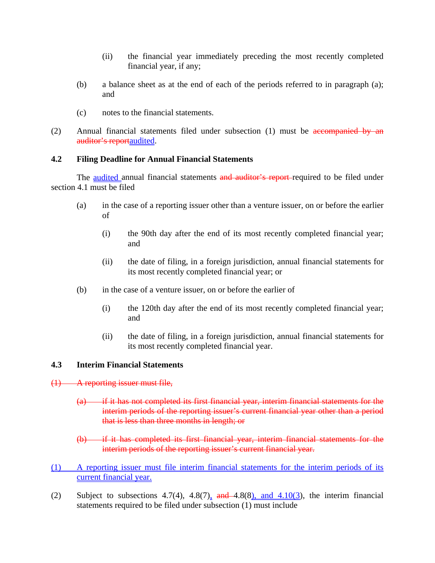- (ii) the financial year immediately preceding the most recently completed financial year, if any;
- (b) a balance sheet as at the end of each of the periods referred to in paragraph (a); and
- (c) notes to the financial statements.
- (2) Annual financial statements filed under subsection (1) must be accompanied by an auditor's reportaudited.

#### **4.2 Filing Deadline for Annual Financial Statements**

The **audited** annual financial statements and auditor's report-required to be filed under section 4.1 must be filed

- (a) in the case of a reporting issuer other than a venture issuer, on or before the earlier of
	- (i) the 90th day after the end of its most recently completed financial year; and
	- (ii) the date of filing, in a foreign jurisdiction, annual financial statements for its most recently completed financial year; or
- (b) in the case of a venture issuer, on or before the earlier of
	- (i) the 120th day after the end of its most recently completed financial year; and
	- (ii) the date of filing, in a foreign jurisdiction, annual financial statements for its most recently completed financial year.

#### **4.3 Interim Financial Statements**

- (1) A reporting issuer must file,
	- (a) if it has not completed its first financial year, interim financial statements for the interim periods of the reporting issuer's current financial year other than a period that is less than three months in length; or
	- (b) if it has completed its first financial year, interim financial statements for the interim periods of the reporting issuer's current financial year.
- (1) A reporting issuer must file interim financial statements for the interim periods of its current financial year.
- (2) Subject to subsections  $4.7(4)$ ,  $4.8(7)$ , and  $4.8(8)$ , and  $4.10(3)$ , the interim financial statements required to be filed under subsection (1) must include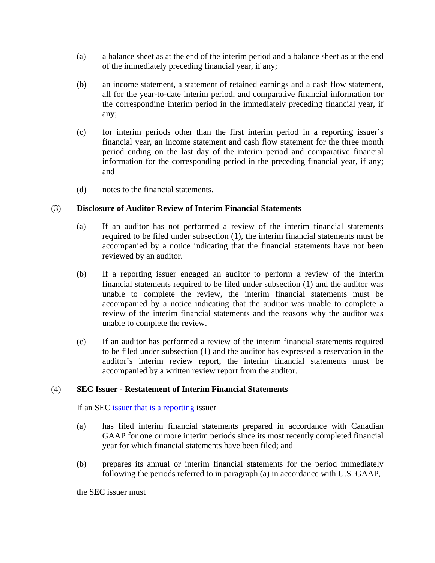- (a) a balance sheet as at the end of the interim period and a balance sheet as at the end of the immediately preceding financial year, if any;
- (b) an income statement, a statement of retained earnings and a cash flow statement, all for the year-to-date interim period, and comparative financial information for the corresponding interim period in the immediately preceding financial year, if any;
- (c) for interim periods other than the first interim period in a reporting issuer's financial year, an income statement and cash flow statement for the three month period ending on the last day of the interim period and comparative financial information for the corresponding period in the preceding financial year, if any; and
- (d) notes to the financial statements.

#### (3) **Disclosure of Auditor Review of Interim Financial Statements**

- (a) If an auditor has not performed a review of the interim financial statements required to be filed under subsection (1), the interim financial statements must be accompanied by a notice indicating that the financial statements have not been reviewed by an auditor.
- (b) If a reporting issuer engaged an auditor to perform a review of the interim financial statements required to be filed under subsection (1) and the auditor was unable to complete the review, the interim financial statements must be accompanied by a notice indicating that the auditor was unable to complete a review of the interim financial statements and the reasons why the auditor was unable to complete the review.
- (c) If an auditor has performed a review of the interim financial statements required to be filed under subsection (1) and the auditor has expressed a reservation in the auditor's interim review report, the interim financial statements must be accompanied by a written review report from the auditor.

#### (4) **SEC Issuer - Restatement of Interim Financial Statements**

If an SEC issuer that is a reporting issuer

- (a) has filed interim financial statements prepared in accordance with Canadian GAAP for one or more interim periods since its most recently completed financial year for which financial statements have been filed; and
- (b) prepares its annual or interim financial statements for the period immediately following the periods referred to in paragraph (a) in accordance with U.S. GAAP,

the SEC issuer must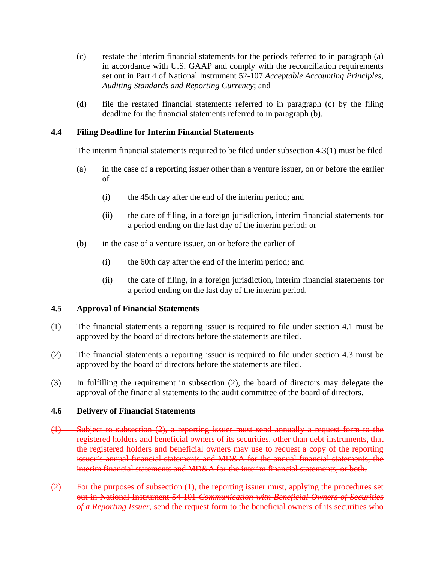- (c) restate the interim financial statements for the periods referred to in paragraph (a) in accordance with U.S. GAAP and comply with the reconciliation requirements set out in Part 4 of National Instrument 52-107 *Acceptable Accounting Principles, Auditing Standards and Reporting Currency*; and
- (d) file the restated financial statements referred to in paragraph (c) by the filing deadline for the financial statements referred to in paragraph (b).

#### **4.4 Filing Deadline for Interim Financial Statements**

The interim financial statements required to be filed under subsection 4.3(1) must be filed

- (a) in the case of a reporting issuer other than a venture issuer, on or before the earlier of
	- (i) the 45th day after the end of the interim period; and
	- (ii) the date of filing, in a foreign jurisdiction, interim financial statements for a period ending on the last day of the interim period; or
- (b) in the case of a venture issuer, on or before the earlier of
	- (i) the 60th day after the end of the interim period; and
	- (ii) the date of filing, in a foreign jurisdiction, interim financial statements for a period ending on the last day of the interim period.

#### **4.5 Approval of Financial Statements**

- (1) The financial statements a reporting issuer is required to file under section 4.1 must be approved by the board of directors before the statements are filed.
- (2) The financial statements a reporting issuer is required to file under section 4.3 must be approved by the board of directors before the statements are filed.
- (3) In fulfilling the requirement in subsection (2), the board of directors may delegate the approval of the financial statements to the audit committee of the board of directors.

#### **4.6 Delivery of Financial Statements**

- (1) Subject to subsection (2), a reporting issuer must send annually a request form to the registered holders and beneficial owners of its securities, other than debt instruments, that the registered holders and beneficial owners may use to request a copy of the reporting issuer's annual financial statements and MD&A for the annual financial statements, the interim financial statements and MD&A for the interim financial statements, or both.
- (2) For the purposes of subsection (1), the reporting issuer must, applying the procedures set out in National Instrument 54-101 *Communication with Beneficial Owners of Securities of a Reporting Issuer*, send the request form to the beneficial owners of its securities who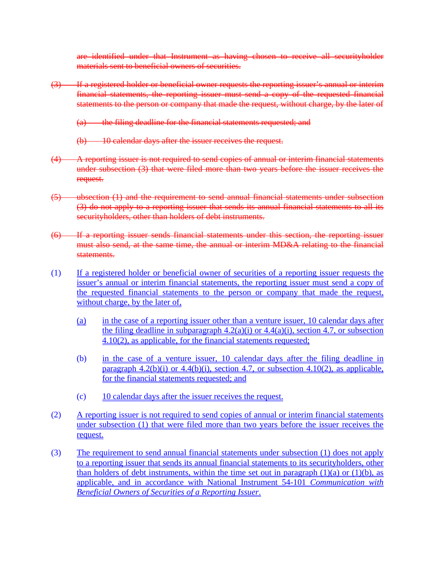are identified under that Instrument as having chosen to receive all securityholder materials sent to beneficial owners of securities.

- (3) If a registered holder or beneficial owner requests the reporting issuer's annual or interim financial statements, the reporting issuer must send a copy of the requested financial statements to the person or company that made the request, without charge, by the later of
	- (a) the filing deadline for the financial statements requested; and
	- (b) 10 calendar days after the issuer receives the request.
- (4) A reporting issuer is not required to send copies of annual or interim financial statements under subsection (3) that were filed more than two years before the issuer receives the request.
- (5) ubsection (1) and the requirement to send annual financial statements under subsection (3) do not apply to a reporting issuer that sends its annual financial statements to all its securityholders, other than holders of debt instruments.
- (6) If a reporting issuer sends financial statements under this section, the reporting issuer must also send, at the same time, the annual or interim MD&A relating to the financial statements.
- (1) If a registered holder or beneficial owner of securities of a reporting issuer requests the issuer's annual or interim financial statements, the reporting issuer must send a copy of the requested financial statements to the person or company that made the request, without charge, by the later of,
	- (a) in the case of a reporting issuer other than a venture issuer, 10 calendar days after the filing deadline in subparagraph  $4.2(a)(i)$  or  $4.4(a)(i)$ , section 4.7, or subsection 4.10(2), as applicable, for the financial statements requested;
	- (b) in the case of a venture issuer, 10 calendar days after the filing deadline in paragraph  $4.2(b)(i)$  or  $4.4(b)(i)$ , section  $4.7$ , or subsection  $4.10(2)$ , as applicable, for the financial statements requested; and
	- (c) 10 calendar days after the issuer receives the request.
- (2) A reporting issuer is not required to send copies of annual or interim financial statements under subsection (1) that were filed more than two years before the issuer receives the request.
- (3) The requirement to send annual financial statements under subsection (1) does not apply to a reporting issuer that sends its annual financial statements to its securityholders, other than holders of debt instruments, within the time set out in paragraph  $(1)(a)$  or  $(1)(b)$ , as applicable, and in accordance with National Instrument 54-101 *Communication with Beneficial Owners of Securities of a Reporting Issuer*.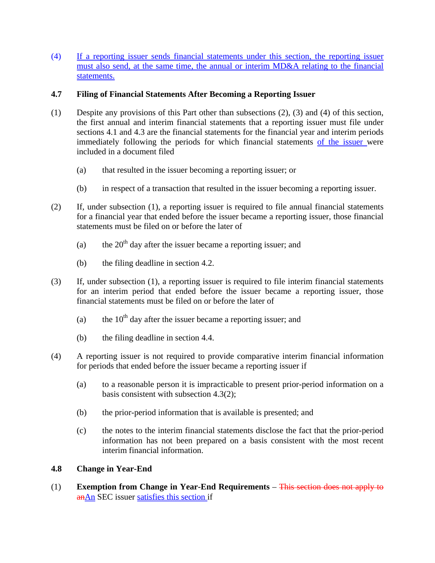(4) If a reporting issuer sends financial statements under this section, the reporting issuer must also send, at the same time, the annual or interim MD&A relating to the financial statements.

## **4.7 Filing of Financial Statements After Becoming a Reporting Issuer**

- (1) Despite any provisions of this Part other than subsections (2), (3) and (4) of this section, the first annual and interim financial statements that a reporting issuer must file under sections 4.1 and 4.3 are the financial statements for the financial year and interim periods immediately following the periods for which financial statements of the issuer were included in a document filed
	- (a) that resulted in the issuer becoming a reporting issuer; or
	- (b) in respect of a transaction that resulted in the issuer becoming a reporting issuer.
- (2) If, under subsection (1), a reporting issuer is required to file annual financial statements for a financial year that ended before the issuer became a reporting issuer, those financial statements must be filed on or before the later of
	- (a) the  $20<sup>th</sup>$  day after the issuer became a reporting issuer; and
	- (b) the filing deadline in section 4.2.
- (3) If, under subsection (1), a reporting issuer is required to file interim financial statements for an interim period that ended before the issuer became a reporting issuer, those financial statements must be filed on or before the later of
	- (a) the  $10<sup>th</sup>$  day after the issuer became a reporting issuer; and
	- (b) the filing deadline in section 4.4.
- (4) A reporting issuer is not required to provide comparative interim financial information for periods that ended before the issuer became a reporting issuer if
	- (a) to a reasonable person it is impracticable to present prior-period information on a basis consistent with subsection 4.3(2);
	- (b) the prior-period information that is available is presented; and
	- (c) the notes to the interim financial statements disclose the fact that the prior-period information has not been prepared on a basis consistent with the most recent interim financial information.

#### **4.8 Change in Year-End**

(1) **Exemption from Change in Year-End Requirements** – This section does not apply to anAn SEC issuer satisfies this section if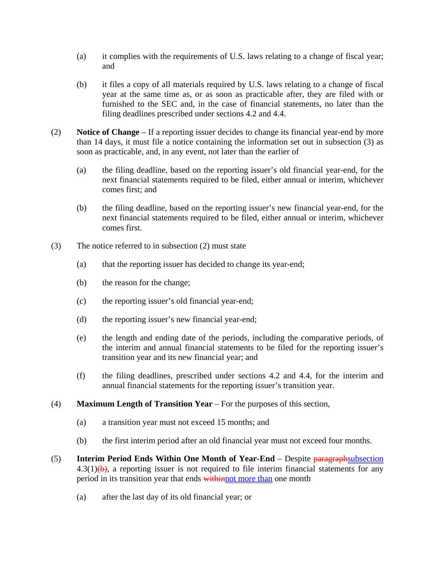- (a) it complies with the requirements of U.S. laws relating to a change of fiscal year; and
- (b) it files a copy of all materials required by U.S. laws relating to a change of fiscal year at the same time as, or as soon as practicable after, they are filed with or furnished to the SEC and, in the case of financial statements, no later than the filing deadlines prescribed under sections 4.2 and 4.4.
- (2) **Notice of Change** If a reporting issuer decides to change its financial year-end by more than 14 days, it must file a notice containing the information set out in subsection (3) as soon as practicable, and, in any event, not later than the earlier of
	- (a) the filing deadline, based on the reporting issuer's old financial year-end, for the next financial statements required to be filed, either annual or interim, whichever comes first; and
	- (b) the filing deadline, based on the reporting issuer's new financial year-end, for the next financial statements required to be filed, either annual or interim, whichever comes first.
- (3) The notice referred to in subsection (2) must state
	- (a) that the reporting issuer has decided to change its year-end;
	- (b) the reason for the change;
	- (c) the reporting issuer's old financial year-end;
	- (d) the reporting issuer's new financial year-end;
	- (e) the length and ending date of the periods, including the comparative periods, of the interim and annual financial statements to be filed for the reporting issuer's transition year and its new financial year; and
	- (f) the filing deadlines, prescribed under sections 4.2 and 4.4, for the interim and annual financial statements for the reporting issuer's transition year.
- (4) **Maximum Length of Transition Year** For the purposes of this section,
	- (a) a transition year must not exceed 15 months; and
	- (b) the first interim period after an old financial year must not exceed four months.
- (5) **Interim Period Ends Within One Month of Year-End** Despite paragraphsubsection  $4.3(1)(b)$ , a reporting issuer is not required to file interim financial statements for any period in its transition year that ends within pote more than one month
	- (a) after the last day of its old financial year; or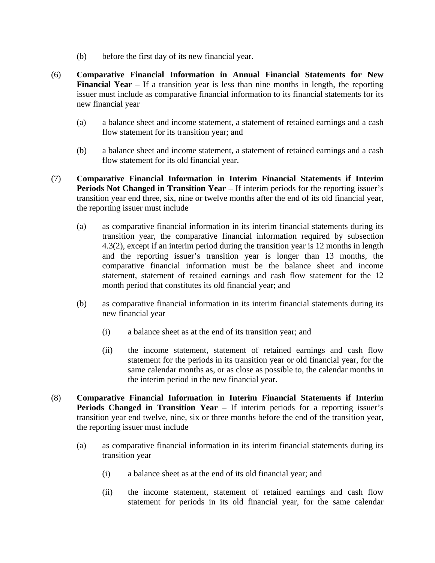- (b) before the first day of its new financial year.
- (6) **Comparative Financial Information in Annual Financial Statements for New Financial Year** – If a transition year is less than nine months in length, the reporting issuer must include as comparative financial information to its financial statements for its new financial year
	- (a) a balance sheet and income statement, a statement of retained earnings and a cash flow statement for its transition year; and
	- (b) a balance sheet and income statement, a statement of retained earnings and a cash flow statement for its old financial year.
- (7) **Comparative Financial Information in Interim Financial Statements if Interim Periods Not Changed in Transition Year** – If interim periods for the reporting issuer's transition year end three, six, nine or twelve months after the end of its old financial year, the reporting issuer must include
	- (a) as comparative financial information in its interim financial statements during its transition year, the comparative financial information required by subsection 4.3(2), except if an interim period during the transition year is 12 months in length and the reporting issuer's transition year is longer than 13 months, the comparative financial information must be the balance sheet and income statement, statement of retained earnings and cash flow statement for the 12 month period that constitutes its old financial year; and
	- (b) as comparative financial information in its interim financial statements during its new financial year
		- (i) a balance sheet as at the end of its transition year; and
		- (ii) the income statement, statement of retained earnings and cash flow statement for the periods in its transition year or old financial year, for the same calendar months as, or as close as possible to, the calendar months in the interim period in the new financial year.
- (8) **Comparative Financial Information in Interim Financial Statements if Interim Periods Changed in Transition Year** – If interim periods for a reporting issuer's transition year end twelve, nine, six or three months before the end of the transition year, the reporting issuer must include
	- (a) as comparative financial information in its interim financial statements during its transition year
		- (i) a balance sheet as at the end of its old financial year; and
		- (ii) the income statement, statement of retained earnings and cash flow statement for periods in its old financial year, for the same calendar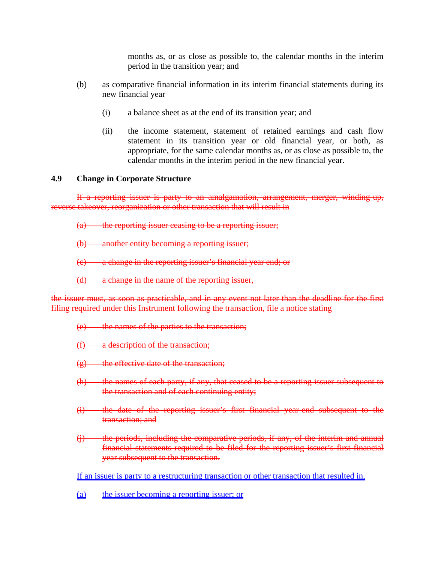months as, or as close as possible to, the calendar months in the interim period in the transition year; and

- (b) as comparative financial information in its interim financial statements during its new financial year
	- (i) a balance sheet as at the end of its transition year; and
	- (ii) the income statement, statement of retained earnings and cash flow statement in its transition year or old financial year, or both, as appropriate, for the same calendar months as, or as close as possible to, the calendar months in the interim period in the new financial year.

#### **4.9 Change in Corporate Structure**

If a reporting issuer is party to an amalgamation, arrangement, merger, winding-up, reverse takeover, reorganization or other transaction that will result in

- (a) the reporting issuer ceasing to be a reporting issuer;
- (b) another entity becoming a reporting issuer;
- (c) a change in the reporting issuer's financial year end; or
- (d) a change in the name of the reporting issuer,

the issuer must, as soon as practicable, and in any event not later than the deadline for the first filing required under this Instrument following the transaction, file a notice stating

- (e) the names of the parties to the transaction;
- (f) a description of the transaction;
- $(g)$  the effective date of the transaction;
- (h) the names of each party, if any, that ceased to be a reporting issuer subsequent to the transaction and of each continuing entity;
- (i) the date of the reporting issuer's first financial year-end subsequent to the transaction; and
- (j) the periods, including the comparative periods, if any, of the interim and annual financial statements required to be filed for the reporting issuer's first financial year subsequent to the transaction.

If an issuer is party to a restructuring transaction or other transaction that resulted in,

(a) the issuer becoming a reporting issuer; or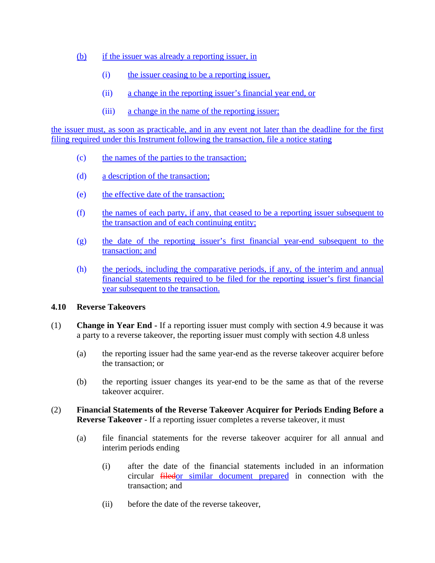- (b) if the issuer was already a reporting issuer, in
	- (i) the issuer ceasing to be a reporting issuer,
	- (ii) a change in the reporting issuer's financial year end, or
	- (iii) a change in the name of the reporting issuer;

the issuer must, as soon as practicable, and in any event not later than the deadline for the first filing required under this Instrument following the transaction, file a notice stating

- (c) the names of the parties to the transaction;
- (d) a description of the transaction;
- (e) the effective date of the transaction;
- (f) the names of each party, if any, that ceased to be a reporting issuer subsequent to the transaction and of each continuing entity;
- (g) the date of the reporting issuer's first financial year-end subsequent to the transaction; and
- (h) the periods, including the comparative periods, if any, of the interim and annual financial statements required to be filed for the reporting issuer's first financial year subsequent to the transaction.

#### **4.10 Reverse Takeovers**

- (1) **Change in Year End** If a reporting issuer must comply with section 4.9 because it was a party to a reverse takeover, the reporting issuer must comply with section 4.8 unless
	- (a) the reporting issuer had the same year-end as the reverse takeover acquirer before the transaction; or
	- (b) the reporting issuer changes its year-end to be the same as that of the reverse takeover acquirer.
- (2) **Financial Statements of the Reverse Takeover Acquirer for Periods Ending Before a Reverse Takeover -** If a reporting issuer completes a reverse takeover, it must
	- (a) file financial statements for the reverse takeover acquirer for all annual and interim periods ending
		- (i) after the date of the financial statements included in an information circular filedor similar document prepared in connection with the transaction; and
		- (ii) before the date of the reverse takeover,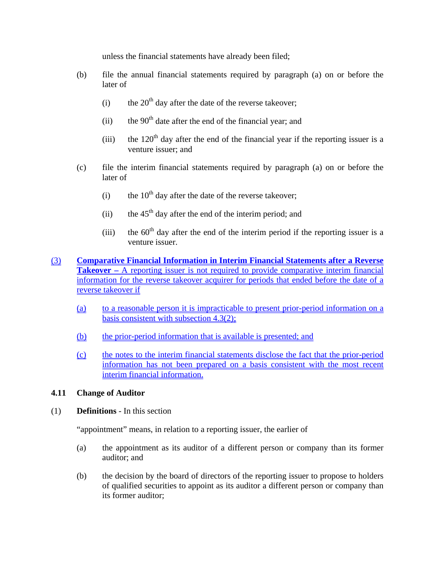unless the financial statements have already been filed;

- (b) file the annual financial statements required by paragraph (a) on or before the later of
	- (i) the  $20<sup>th</sup>$  day after the date of the reverse takeover;
	- (ii) the  $90<sup>th</sup>$  date after the end of the financial year; and
	- (iii) the  $120<sup>th</sup>$  day after the end of the financial year if the reporting issuer is a venture issuer; and
- (c) file the interim financial statements required by paragraph (a) on or before the later of
	- (i) the  $10<sup>th</sup>$  day after the date of the reverse takeover;
	- (ii) the  $45<sup>th</sup>$  day after the end of the interim period; and
	- (iii) the  $60<sup>th</sup>$  day after the end of the interim period if the reporting issuer is a venture issuer.
- (3) **Comparative Financial Information in Interim Financial Statements after a Reverse Takeover** – A reporting issuer is not required to provide comparative interim financial information for the reverse takeover acquirer for periods that ended before the date of a reverse takeover if
	- (a) to a reasonable person it is impracticable to present prior-period information on a basis consistent with subsection 4.3(2);
	- (b) the prior-period information that is available is presented; and
	- (c) the notes to the interim financial statements disclose the fact that the prior-period information has not been prepared on a basis consistent with the most recent interim financial information.

#### **4.11 Change of Auditor**

(1) **Definitions** - In this section

"appointment" means, in relation to a reporting issuer, the earlier of

- (a) the appointment as its auditor of a different person or company than its former auditor; and
- (b) the decision by the board of directors of the reporting issuer to propose to holders of qualified securities to appoint as its auditor a different person or company than its former auditor;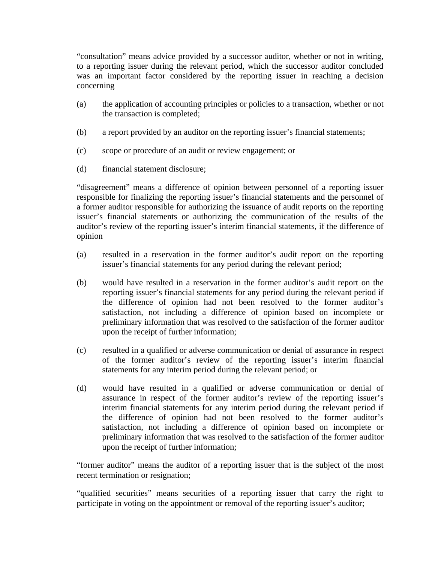"consultation" means advice provided by a successor auditor, whether or not in writing, to a reporting issuer during the relevant period, which the successor auditor concluded was an important factor considered by the reporting issuer in reaching a decision concerning

- (a) the application of accounting principles or policies to a transaction, whether or not the transaction is completed;
- (b) a report provided by an auditor on the reporting issuer's financial statements;
- (c) scope or procedure of an audit or review engagement; or
- (d) financial statement disclosure;

"disagreement" means a difference of opinion between personnel of a reporting issuer responsible for finalizing the reporting issuer's financial statements and the personnel of a former auditor responsible for authorizing the issuance of audit reports on the reporting issuer's financial statements or authorizing the communication of the results of the auditor's review of the reporting issuer's interim financial statements, if the difference of opinion

- (a) resulted in a reservation in the former auditor's audit report on the reporting issuer's financial statements for any period during the relevant period;
- (b) would have resulted in a reservation in the former auditor's audit report on the reporting issuer's financial statements for any period during the relevant period if the difference of opinion had not been resolved to the former auditor's satisfaction, not including a difference of opinion based on incomplete or preliminary information that was resolved to the satisfaction of the former auditor upon the receipt of further information;
- (c) resulted in a qualified or adverse communication or denial of assurance in respect of the former auditor's review of the reporting issuer's interim financial statements for any interim period during the relevant period; or
- (d) would have resulted in a qualified or adverse communication or denial of assurance in respect of the former auditor's review of the reporting issuer's interim financial statements for any interim period during the relevant period if the difference of opinion had not been resolved to the former auditor's satisfaction, not including a difference of opinion based on incomplete or preliminary information that was resolved to the satisfaction of the former auditor upon the receipt of further information;

"former auditor" means the auditor of a reporting issuer that is the subject of the most recent termination or resignation;

"qualified securities" means securities of a reporting issuer that carry the right to participate in voting on the appointment or removal of the reporting issuer's auditor;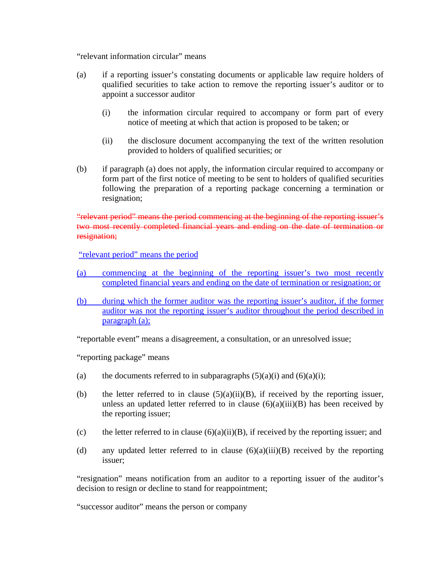"relevant information circular" means

- (a) if a reporting issuer's constating documents or applicable law require holders of qualified securities to take action to remove the reporting issuer's auditor or to appoint a successor auditor
	- (i) the information circular required to accompany or form part of every notice of meeting at which that action is proposed to be taken; or
	- (ii) the disclosure document accompanying the text of the written resolution provided to holders of qualified securities; or
- (b) if paragraph (a) does not apply, the information circular required to accompany or form part of the first notice of meeting to be sent to holders of qualified securities following the preparation of a reporting package concerning a termination or resignation;

"relevant period" means the period commencing at the beginning of the reporting issuer's two most recently completed financial years and ending on the date of termination or resignation;

"relevant period" means the period

- (a) commencing at the beginning of the reporting issuer's two most recently completed financial years and ending on the date of termination or resignation; or
- (b) during which the former auditor was the reporting issuer's auditor, if the former auditor was not the reporting issuer's auditor throughout the period described in paragraph (a);

"reportable event" means a disagreement, a consultation, or an unresolved issue;

"reporting package" means

- (a) the documents referred to in subparagraphs  $(5)(a)(i)$  and  $(6)(a)(i)$ ;
- (b) the letter referred to in clause  $(5)(a)(ii)(B)$ , if received by the reporting issuer, unless an updated letter referred to in clause  $(6)(a)(iii)(B)$  has been received by the reporting issuer;
- (c) the letter referred to in clause  $(6)(a)(ii)(B)$ , if received by the reporting issuer; and
- (d) any updated letter referred to in clause  $(6)(a)(iii)(B)$  received by the reporting issuer;

"resignation" means notification from an auditor to a reporting issuer of the auditor's decision to resign or decline to stand for reappointment;

"successor auditor" means the person or company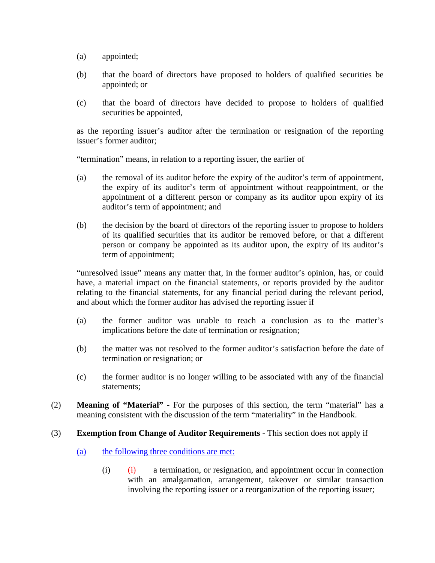- (a) appointed;
- (b) that the board of directors have proposed to holders of qualified securities be appointed; or
- (c) that the board of directors have decided to propose to holders of qualified securities be appointed,

as the reporting issuer's auditor after the termination or resignation of the reporting issuer's former auditor;

"termination" means, in relation to a reporting issuer, the earlier of

- (a) the removal of its auditor before the expiry of the auditor's term of appointment, the expiry of its auditor's term of appointment without reappointment, or the appointment of a different person or company as its auditor upon expiry of its auditor's term of appointment; and
- (b) the decision by the board of directors of the reporting issuer to propose to holders of its qualified securities that its auditor be removed before, or that a different person or company be appointed as its auditor upon, the expiry of its auditor's term of appointment;

"unresolved issue" means any matter that, in the former auditor's opinion, has, or could have, a material impact on the financial statements, or reports provided by the auditor relating to the financial statements, for any financial period during the relevant period, and about which the former auditor has advised the reporting issuer if

- (a) the former auditor was unable to reach a conclusion as to the matter's implications before the date of termination or resignation;
- (b) the matter was not resolved to the former auditor's satisfaction before the date of termination or resignation; or
- (c) the former auditor is no longer willing to be associated with any of the financial statements;
- (2) **Meaning of "Material"** For the purposes of this section, the term "material" has a meaning consistent with the discussion of the term "materiality" in the Handbook.
- (3) **Exemption from Change of Auditor Requirements** This section does not apply if
	- (a) the following three conditions are met:
		- (i)  $\qquadoplus$  a termination, or resignation, and appointment occur in connection with an amalgamation, arrangement, takeover or similar transaction involving the reporting issuer or a reorganization of the reporting issuer;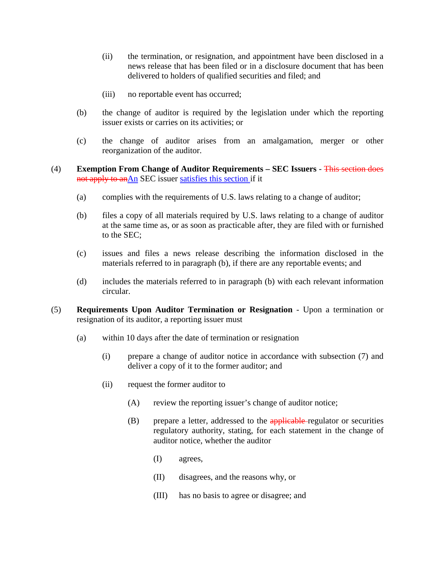- (ii) the termination, or resignation, and appointment have been disclosed in a news release that has been filed or in a disclosure document that has been delivered to holders of qualified securities and filed; and
- (iii) no reportable event has occurred;
- (b) the change of auditor is required by the legislation under which the reporting issuer exists or carries on its activities; or
- (c) the change of auditor arises from an amalgamation, merger or other reorganization of the auditor.
- (4) **Exemption From Change of Auditor Requirements SEC Issuers** This section does not apply to an An SEC issuer satisfies this section if it
	- (a) complies with the requirements of U.S. laws relating to a change of auditor;
	- (b) files a copy of all materials required by U.S. laws relating to a change of auditor at the same time as, or as soon as practicable after, they are filed with or furnished to the SEC;
	- (c) issues and files a news release describing the information disclosed in the materials referred to in paragraph (b), if there are any reportable events; and
	- (d) includes the materials referred to in paragraph (b) with each relevant information circular.
- (5) **Requirements Upon Auditor Termination or Resignation** Upon a termination or resignation of its auditor, a reporting issuer must
	- (a) within 10 days after the date of termination or resignation
		- (i) prepare a change of auditor notice in accordance with subsection (7) and deliver a copy of it to the former auditor; and
		- (ii) request the former auditor to
			- (A) review the reporting issuer's change of auditor notice;
			- (B) prepare a letter, addressed to the **applicable**-regulator or securities regulatory authority, stating, for each statement in the change of auditor notice, whether the auditor
				- (I) agrees,
				- (II) disagrees, and the reasons why, or
				- (III) has no basis to agree or disagree; and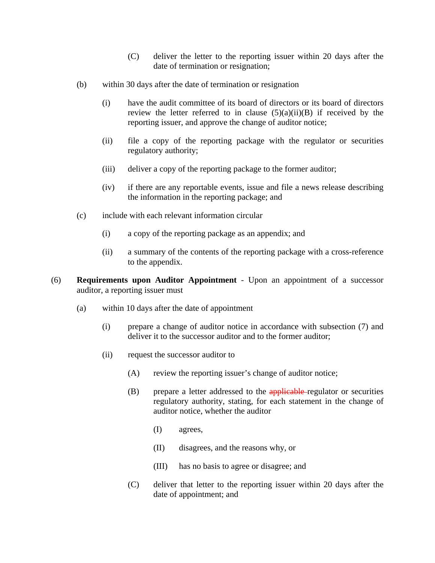- (C) deliver the letter to the reporting issuer within 20 days after the date of termination or resignation;
- (b) within 30 days after the date of termination or resignation
	- (i) have the audit committee of its board of directors or its board of directors review the letter referred to in clause  $(5)(a)(ii)(B)$  if received by the reporting issuer, and approve the change of auditor notice;
	- (ii) file a copy of the reporting package with the regulator or securities regulatory authority;
	- (iii) deliver a copy of the reporting package to the former auditor;
	- (iv) if there are any reportable events, issue and file a news release describing the information in the reporting package; and
- (c) include with each relevant information circular
	- (i) a copy of the reporting package as an appendix; and
	- (ii) a summary of the contents of the reporting package with a cross-reference to the appendix.
- (6) **Requirements upon Auditor Appointment** Upon an appointment of a successor auditor, a reporting issuer must
	- (a) within 10 days after the date of appointment
		- (i) prepare a change of auditor notice in accordance with subsection (7) and deliver it to the successor auditor and to the former auditor;
		- (ii) request the successor auditor to
			- (A) review the reporting issuer's change of auditor notice;
			- (B) prepare a letter addressed to the **applicable**-regulator or securities regulatory authority, stating, for each statement in the change of auditor notice, whether the auditor
				- (I) agrees,
				- (II) disagrees, and the reasons why, or
				- (III) has no basis to agree or disagree; and
			- (C) deliver that letter to the reporting issuer within 20 days after the date of appointment; and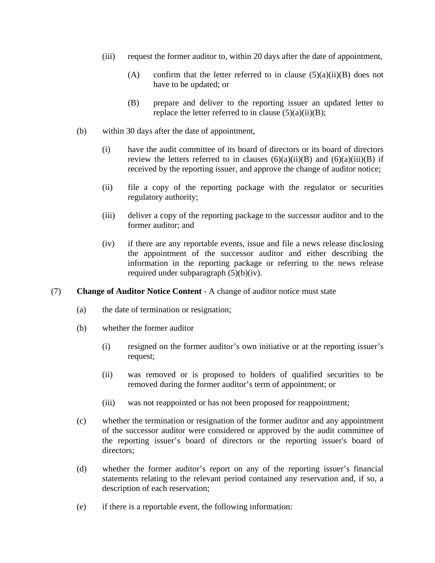- (iii) request the former auditor to, within 20 days after the date of appointment,
	- (A) confirm that the letter referred to in clause  $(5)(a)(ii)(B)$  does not have to be updated; or
	- (B) prepare and deliver to the reporting issuer an updated letter to replace the letter referred to in clause  $(5)(a)(ii)(B)$ ;
- (b) within 30 days after the date of appointment,
	- (i) have the audit committee of its board of directors or its board of directors review the letters referred to in clauses  $(6)(a)(ii)(B)$  and  $(6)(a)(iii)(B)$  if received by the reporting issuer, and approve the change of auditor notice;
	- (ii) file a copy of the reporting package with the regulator or securities regulatory authority;
	- (iii) deliver a copy of the reporting package to the successor auditor and to the former auditor; and
	- (iv) if there are any reportable events, issue and file a news release disclosing the appointment of the successor auditor and either describing the information in the reporting package or referring to the news release required under subparagraph  $(5)(b)(iv)$ .
- (7) **Change of Auditor Notice Content** A change of auditor notice must state
	- (a) the date of termination or resignation;
	- (b) whether the former auditor
		- (i) resigned on the former auditor's own initiative or at the reporting issuer's request;
		- (ii) was removed or is proposed to holders of qualified securities to be removed during the former auditor's term of appointment; or
		- (iii) was not reappointed or has not been proposed for reappointment;
	- (c) whether the termination or resignation of the former auditor and any appointment of the successor auditor were considered or approved by the audit committee of the reporting issuer's board of directors or the reporting issuer's board of directors;
	- (d) whether the former auditor's report on any of the reporting issuer's financial statements relating to the relevant period contained any reservation and, if so, a description of each reservation;
	- (e) if there is a reportable event, the following information: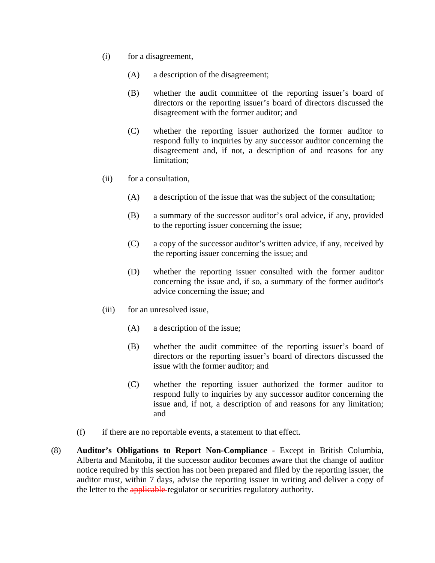- (i) for a disagreement,
	- (A) a description of the disagreement;
	- (B) whether the audit committee of the reporting issuer's board of directors or the reporting issuer's board of directors discussed the disagreement with the former auditor; and
	- (C) whether the reporting issuer authorized the former auditor to respond fully to inquiries by any successor auditor concerning the disagreement and, if not, a description of and reasons for any limitation;
- (ii) for a consultation,
	- (A) a description of the issue that was the subject of the consultation;
	- (B) a summary of the successor auditor's oral advice, if any, provided to the reporting issuer concerning the issue;
	- (C) a copy of the successor auditor's written advice, if any, received by the reporting issuer concerning the issue; and
	- (D) whether the reporting issuer consulted with the former auditor concerning the issue and, if so, a summary of the former auditor's advice concerning the issue; and
- (iii) for an unresolved issue,
	- (A) a description of the issue;
	- (B) whether the audit committee of the reporting issuer's board of directors or the reporting issuer's board of directors discussed the issue with the former auditor; and
	- (C) whether the reporting issuer authorized the former auditor to respond fully to inquiries by any successor auditor concerning the issue and, if not, a description of and reasons for any limitation; and
- (f) if there are no reportable events, a statement to that effect.
- (8) **Auditor's Obligations to Report Non-Compliance** Except in British Columbia, Alberta and Manitoba, if the successor auditor becomes aware that the change of auditor notice required by this section has not been prepared and filed by the reporting issuer, the auditor must, within 7 days, advise the reporting issuer in writing and deliver a copy of the letter to the *applicable* regulator or securities regulatory authority.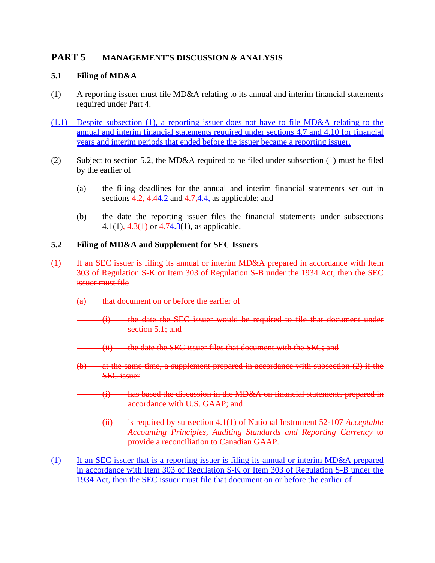# **PART 5 MANAGEMENT'S DISCUSSION & ANALYSIS**

#### **5.1 Filing of MD&A**

- (1) A reporting issuer must file MD&A relating to its annual and interim financial statements required under Part 4.
- (1.1) Despite subsection (1), a reporting issuer does not have to file MD&A relating to the annual and interim financial statements required under sections 4.7 and 4.10 for financial years and interim periods that ended before the issuer became a reporting issuer.
- (2) Subject to section 5.2, the MD&A required to be filed under subsection (1) must be filed by the earlier of
	- (a) the filing deadlines for the annual and interim financial statements set out in sections  $4.2$ ,  $4.44.2$  and  $4.7,4.4$ , as applicable; and
	- (b) the date the reporting issuer files the financial statements under subsections 4.1(1),  $\frac{4.3(1)}{2}$  or  $\frac{4.74}{3(1)}$ , as applicable.

#### **5.2 Filing of MD&A and Supplement for SEC Issuers**

- (1) If an SEC issuer is filing its annual or interim MD&A prepared in accordance with Item 303 of Regulation S-K or Item 303 of Regulation S-B under the 1934 Act, then the SEC issuer must file
	- (a) that document on or before the earlier of
	- (i) the date the SEC issuer would be required to file that document under section 5.1; and
	- (ii) the date the SEC issuer files that document with the SEC; and
	- (b) at the same time, a supplement prepared in accordance with subsection (2) if the SEC issuer
	- (i) has based the discussion in the MD&A on financial statements prepared in accordance with U.S. GAAP; and
	- (ii) is required by subsection 4.1(1) of National Instrument 52-107 *Acceptable Accounting Principles, Auditing Standards and Reporting Currency* to provide a reconciliation to Canadian GAAP.
- (1) If an SEC issuer that is a reporting issuer is filing its annual or interim MD&A prepared in accordance with Item 303 of Regulation S-K or Item 303 of Regulation S-B under the 1934 Act, then the SEC issuer must file that document on or before the earlier of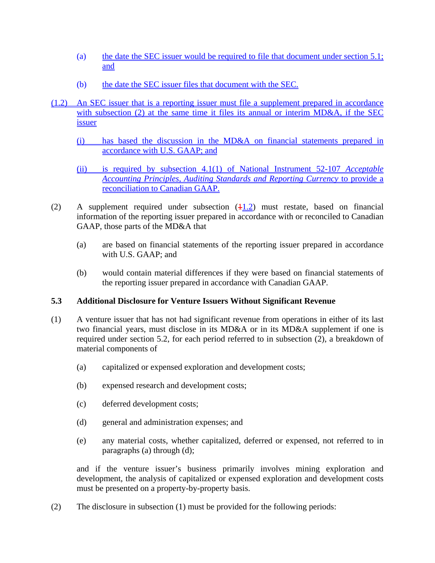- (a) the date the SEC issuer would be required to file that document under section 5.1; and
- (b) the date the SEC issuer files that document with the SEC.
- (1.2) An SEC issuer that is a reporting issuer must file a supplement prepared in accordance with subsection (2) at the same time it files its annual or interim MD&A, if the SEC issuer
	- (i) has based the discussion in the MD&A on financial statements prepared in accordance with U.S. GAAP; and
	- (ii) is required by subsection 4.1(1) of National Instrument 52-107 *Acceptable Accounting Principles, Auditing Standards and Reporting Currency* to provide a reconciliation to Canadian GAAP.
- (2) A supplement required under subsection  $(11.2)$  must restate, based on financial information of the reporting issuer prepared in accordance with or reconciled to Canadian GAAP, those parts of the MD&A that
	- (a) are based on financial statements of the reporting issuer prepared in accordance with U.S. GAAP; and
	- (b) would contain material differences if they were based on financial statements of the reporting issuer prepared in accordance with Canadian GAAP.

# **5.3 Additional Disclosure for Venture Issuers Without Significant Revenue**

- (1) A venture issuer that has not had significant revenue from operations in either of its last two financial years, must disclose in its MD&A or in its MD&A supplement if one is required under section 5.2, for each period referred to in subsection (2), a breakdown of material components of
	- (a) capitalized or expensed exploration and development costs;
	- (b) expensed research and development costs;
	- (c) deferred development costs;
	- (d) general and administration expenses; and
	- (e) any material costs, whether capitalized, deferred or expensed, not referred to in paragraphs (a) through (d);

and if the venture issuer's business primarily involves mining exploration and development, the analysis of capitalized or expensed exploration and development costs must be presented on a property-by-property basis.

(2) The disclosure in subsection (1) must be provided for the following periods: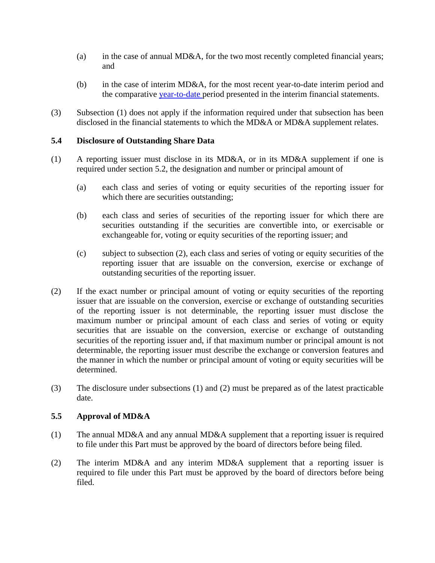- (a) in the case of annual MD&A, for the two most recently completed financial years; and
- (b) in the case of interim MD&A, for the most recent year-to-date interim period and the comparative year-to-date period presented in the interim financial statements.
- (3) Subsection (1) does not apply if the information required under that subsection has been disclosed in the financial statements to which the MD&A or MD&A supplement relates.

#### **5.4 Disclosure of Outstanding Share Data**

- (1) A reporting issuer must disclose in its MD&A, or in its MD&A supplement if one is required under section 5.2, the designation and number or principal amount of
	- (a) each class and series of voting or equity securities of the reporting issuer for which there are securities outstanding;
	- (b) each class and series of securities of the reporting issuer for which there are securities outstanding if the securities are convertible into, or exercisable or exchangeable for, voting or equity securities of the reporting issuer; and
	- (c) subject to subsection (2), each class and series of voting or equity securities of the reporting issuer that are issuable on the conversion, exercise or exchange of outstanding securities of the reporting issuer.
- (2) If the exact number or principal amount of voting or equity securities of the reporting issuer that are issuable on the conversion, exercise or exchange of outstanding securities of the reporting issuer is not determinable, the reporting issuer must disclose the maximum number or principal amount of each class and series of voting or equity securities that are issuable on the conversion, exercise or exchange of outstanding securities of the reporting issuer and, if that maximum number or principal amount is not determinable, the reporting issuer must describe the exchange or conversion features and the manner in which the number or principal amount of voting or equity securities will be determined.
- (3) The disclosure under subsections (1) and (2) must be prepared as of the latest practicable date.

#### **5.5 Approval of MD&A**

- (1) The annual MD&A and any annual MD&A supplement that a reporting issuer is required to file under this Part must be approved by the board of directors before being filed.
- (2) The interim MD&A and any interim MD&A supplement that a reporting issuer is required to file under this Part must be approved by the board of directors before being filed.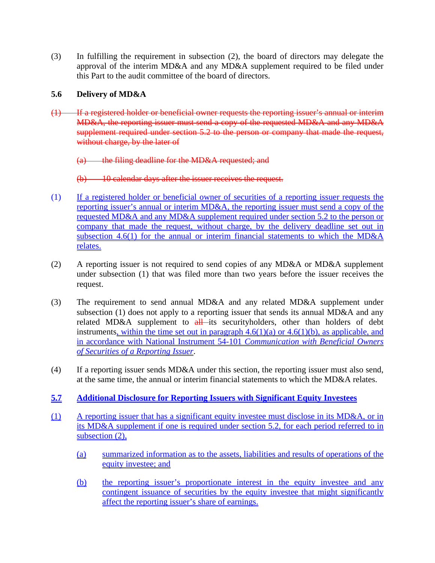(3) In fulfilling the requirement in subsection (2), the board of directors may delegate the approval of the interim MD&A and any MD&A supplement required to be filed under this Part to the audit committee of the board of directors.

## **5.6 Delivery of MD&A**

- (1) If a registered holder or beneficial owner requests the reporting issuer's annual or interim MD&A, the reporting issuer must send a copy of the requested MD&A and any MD&A supplement required under section 5.2 to the person or company that made the request, without charge, by the later of
	- (a) the filing deadline for the MD&A requested; and
	- (b) 10 calendar days after the issuer receives the request.
- (1) If a registered holder or beneficial owner of securities of a reporting issuer requests the reporting issuer's annual or interim MD&A, the reporting issuer must send a copy of the requested MD&A and any MD&A supplement required under section 5.2 to the person or company that made the request, without charge, by the delivery deadline set out in subsection 4.6(1) for the annual or interim financial statements to which the MD&A relates.
- (2) A reporting issuer is not required to send copies of any MD&A or MD&A supplement under subsection (1) that was filed more than two years before the issuer receives the request.
- (3) The requirement to send annual MD&A and any related MD&A supplement under subsection (1) does not apply to a reporting issuer that sends its annual MD&A and any related MD&A supplement to all its securityholders, other than holders of debt instruments, within the time set out in paragraph  $4.6(1)(a)$  or  $4.6(1)(b)$ , as applicable, and in accordance with National Instrument 54-101 *Communication with Beneficial Owners of Securities of a Reporting Issuer*.
- (4) If a reporting issuer sends MD&A under this section, the reporting issuer must also send, at the same time, the annual or interim financial statements to which the MD&A relates.
- **5.7 Additional Disclosure for Reporting Issuers with Significant Equity Investees**
- (1) A reporting issuer that has a significant equity investee must disclose in its MD&A, or in its MD&A supplement if one is required under section 5.2, for each period referred to in subsection (2),
	- (a) summarized information as to the assets, liabilities and results of operations of the equity investee; and
	- (b) the reporting issuer's proportionate interest in the equity investee and any contingent issuance of securities by the equity investee that might significantly affect the reporting issuer's share of earnings.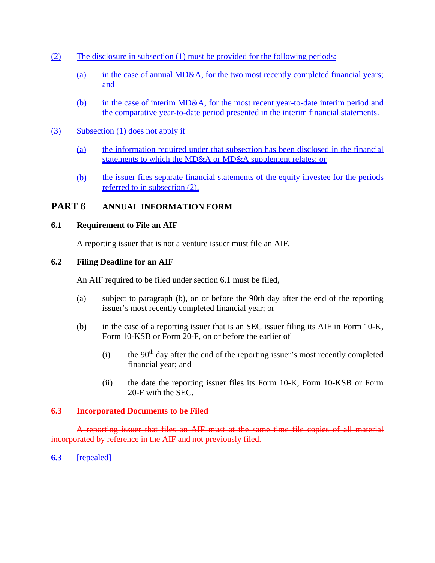- (2) The disclosure in subsection (1) must be provided for the following periods:
	- (a) in the case of annual MD&A, for the two most recently completed financial years; and
	- (b) in the case of interim MD&A, for the most recent year-to-date interim period and the comparative year-to-date period presented in the interim financial statements.
- (3) Subsection (1) does not apply if
	- (a) the information required under that subsection has been disclosed in the financial statements to which the MD&A or MD&A supplement relates; or
	- (b) the issuer files separate financial statements of the equity investee for the periods referred to in subsection (2).

# **PART 6 ANNUAL INFORMATION FORM**

#### **6.1 Requirement to File an AIF**

A reporting issuer that is not a venture issuer must file an AIF.

#### **6.2 Filing Deadline for an AIF**

An AIF required to be filed under section 6.1 must be filed,

- (a) subject to paragraph (b), on or before the 90th day after the end of the reporting issuer's most recently completed financial year; or
- (b) in the case of a reporting issuer that is an SEC issuer filing its AIF in Form 10-K, Form 10-KSB or Form 20-F, on or before the earlier of
	- (i) the  $90<sup>th</sup>$  day after the end of the reporting issuer's most recently completed financial year; and
	- (ii) the date the reporting issuer files its Form 10-K, Form 10-KSB or Form 20-F with the SEC.

#### **6.3 Incorporated Documents to be Filed**

A reporting issuer that files an AIF must at the same time file copies of all material incorporated by reference in the AIF and not previously filed.

**6.3** [repealed]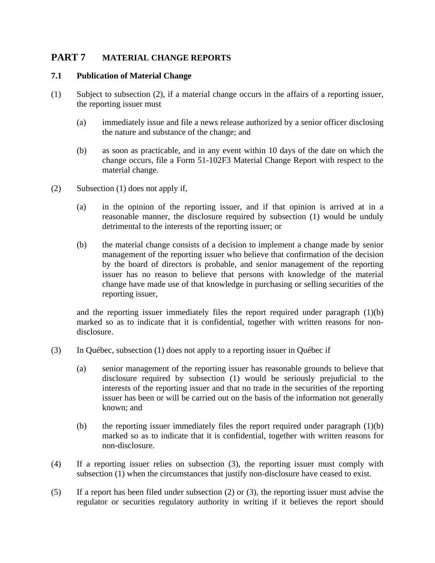# **PART 7 MATERIAL CHANGE REPORTS**

#### **7.1 Publication of Material Change**

- (1) Subject to subsection (2), if a material change occurs in the affairs of a reporting issuer, the reporting issuer must
	- (a) immediately issue and file a news release authorized by a senior officer disclosing the nature and substance of the change; and
	- (b) as soon as practicable, and in any event within 10 days of the date on which the change occurs, file a Form 51-102F3 Material Change Report with respect to the material change.
- (2) Subsection (1) does not apply if,
	- (a) in the opinion of the reporting issuer, and if that opinion is arrived at in a reasonable manner, the disclosure required by subsection (1) would be unduly detrimental to the interests of the reporting issuer; or
	- (b) the material change consists of a decision to implement a change made by senior management of the reporting issuer who believe that confirmation of the decision by the board of directors is probable, and senior management of the reporting issuer has no reason to believe that persons with knowledge of the material change have made use of that knowledge in purchasing or selling securities of the reporting issuer,

and the reporting issuer immediately files the report required under paragraph (1)(b) marked so as to indicate that it is confidential, together with written reasons for nondisclosure.

- (3) In Québec, subsection (1) does not apply to a reporting issuer in Québec if
	- (a) senior management of the reporting issuer has reasonable grounds to believe that disclosure required by subsection (1) would be seriously prejudicial to the interests of the reporting issuer and that no trade in the securities of the reporting issuer has been or will be carried out on the basis of the information not generally known; and
	- (b) the reporting issuer immediately files the report required under paragraph (1)(b) marked so as to indicate that it is confidential, together with written reasons for non-disclosure.
- (4) If a reporting issuer relies on subsection (3), the reporting issuer must comply with subsection (1) when the circumstances that justify non-disclosure have ceased to exist.
- (5) If a report has been filed under subsection (2) or (3), the reporting issuer must advise the regulator or securities regulatory authority in writing if it believes the report should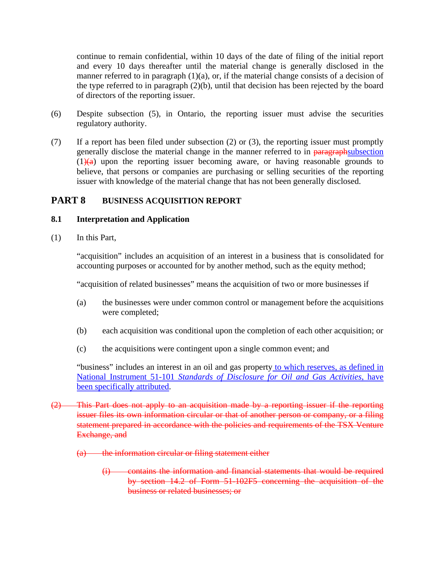continue to remain confidential, within 10 days of the date of filing of the initial report and every 10 days thereafter until the material change is generally disclosed in the manner referred to in paragraph  $(1)(a)$ , or, if the material change consists of a decision of the type referred to in paragraph (2)(b), until that decision has been rejected by the board of directors of the reporting issuer.

- (6) Despite subsection (5), in Ontario, the reporting issuer must advise the securities regulatory authority.
- (7) If a report has been filed under subsection (2) or (3), the reporting issuer must promptly generally disclose the material change in the manner referred to in paragraphsubsection  $(1)$ (a) upon the reporting issuer becoming aware, or having reasonable grounds to believe, that persons or companies are purchasing or selling securities of the reporting issuer with knowledge of the material change that has not been generally disclosed.

# **PART 8 BUSINESS ACQUISITION REPORT**

#### **8.1 Interpretation and Application**

(1) In this Part,

"acquisition" includes an acquisition of an interest in a business that is consolidated for accounting purposes or accounted for by another method, such as the equity method;

"acquisition of related businesses" means the acquisition of two or more businesses if

- (a) the businesses were under common control or management before the acquisitions were completed;
- (b) each acquisition was conditional upon the completion of each other acquisition; or
- (c) the acquisitions were contingent upon a single common event; and

"business" includes an interest in an oil and gas property to which reserves, as defined in National Instrument 51-101 *Standards of Disclosure for Oil and Gas Activities*, have been specifically attributed.

- (2) This Part does not apply to an acquisition made by a reporting issuer if the reporting issuer files its own information circular or that of another person or company, or a filing statement prepared in accordance with the policies and requirements of the TSX Venture Exchange, and
	- $(a)$  the information circular or filing statement either
		- (i) contains the information and financial statements that would be required by section 14.2 of Form 51-102F5 concerning the acquisition of the business or related businesses; or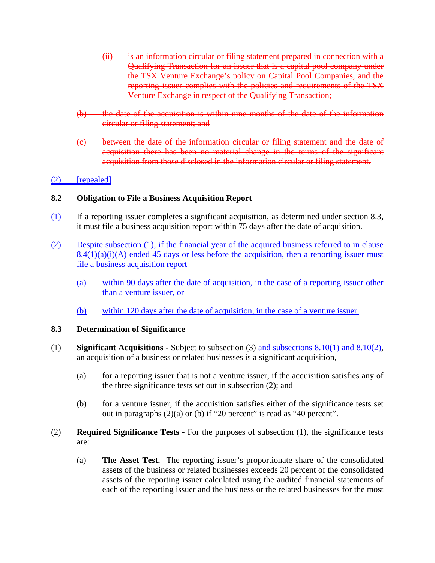- (ii) is an information circular or filing statement prepared in connection with a Qualifying Transaction for an issuer that is a capital pool company under the TSX Venture Exchange's policy on Capital Pool Companies, and the reporting issuer complies with the policies and requirements of the TSX Venture Exchange in respect of the Qualifying Transaction;
- (b) the date of the acquisition is within nine months of the date of the information circular or filing statement; and
- (c) between the date of the information circular or filing statement and the date of acquisition there has been no material change in the terms of the significant acquisition from those disclosed in the information circular or filing statement.

#### (2) [repealed]

#### **8.2 Obligation to File a Business Acquisition Report**

- (1) If a reporting issuer completes a significant acquisition, as determined under section 8.3, it must file a business acquisition report within 75 days after the date of acquisition.
- (2) Despite subsection (1), if the financial year of the acquired business referred to in clause  $8.4(1)(a)(i)$ (A) ended 45 days or less before the acquisition, then a reporting issuer must file a business acquisition report
	- (a) within 90 days after the date of acquisition, in the case of a reporting issuer other than a venture issuer, or
	- (b) within 120 days after the date of acquisition, in the case of a venture issuer.

#### **8.3 Determination of Significance**

- (1) **Significant Acquisitions** Subject to subsection (3) and subsections 8.10(1) and 8.10(2), an acquisition of a business or related businesses is a significant acquisition,
	- (a) for a reporting issuer that is not a venture issuer, if the acquisition satisfies any of the three significance tests set out in subsection (2); and
	- (b) for a venture issuer, if the acquisition satisfies either of the significance tests set out in paragraphs (2)(a) or (b) if "20 percent" is read as "40 percent".
- (2) **Required Significance Tests** For the purposes of subsection (1), the significance tests are:
	- (a) **The Asset Test.** The reporting issuer's proportionate share of the consolidated assets of the business or related businesses exceeds 20 percent of the consolidated assets of the reporting issuer calculated using the audited financial statements of each of the reporting issuer and the business or the related businesses for the most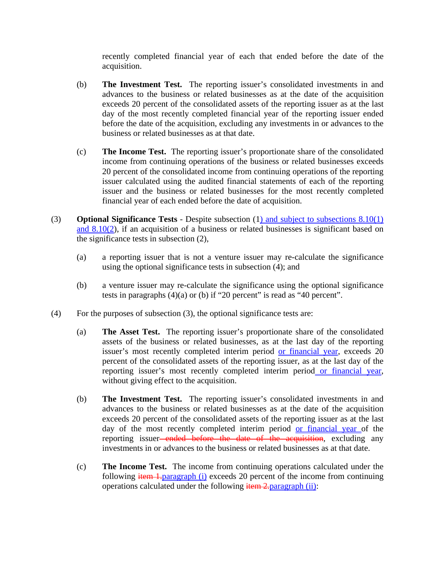recently completed financial year of each that ended before the date of the acquisition.

- (b) **The Investment Test.** The reporting issuer's consolidated investments in and advances to the business or related businesses as at the date of the acquisition exceeds 20 percent of the consolidated assets of the reporting issuer as at the last day of the most recently completed financial year of the reporting issuer ended before the date of the acquisition, excluding any investments in or advances to the business or related businesses as at that date.
- (c) **The Income Test.** The reporting issuer's proportionate share of the consolidated income from continuing operations of the business or related businesses exceeds 20 percent of the consolidated income from continuing operations of the reporting issuer calculated using the audited financial statements of each of the reporting issuer and the business or related businesses for the most recently completed financial year of each ended before the date of acquisition.
- (3) **Optional Significance Tests** Despite subsection (1) and subject to subsections 8.10(1) and  $8.10(2)$ , if an acquisition of a business or related businesses is significant based on the significance tests in subsection (2),
	- (a) a reporting issuer that is not a venture issuer may re-calculate the significance using the optional significance tests in subsection (4); and
	- (b) a venture issuer may re-calculate the significance using the optional significance tests in paragraphs  $(4)(a)$  or (b) if "20 percent" is read as "40 percent".
- (4) For the purposes of subsection (3), the optional significance tests are:
	- (a) **The Asset Test.** The reporting issuer's proportionate share of the consolidated assets of the business or related businesses, as at the last day of the reporting issuer's most recently completed interim period or financial year, exceeds 20 percent of the consolidated assets of the reporting issuer, as at the last day of the reporting issuer's most recently completed interim period or financial year, without giving effect to the acquisition.
	- (b) **The Investment Test.** The reporting issuer's consolidated investments in and advances to the business or related businesses as at the date of the acquisition exceeds 20 percent of the consolidated assets of the reporting issuer as at the last day of the most recently completed interim period or financial year of the reporting issuer<del>-ended before the date of the acquisition</del>, excluding any investments in or advances to the business or related businesses as at that date.
	- (c) **The Income Test.** The income from continuing operations calculated under the following item 1-paragraph (i) exceeds 20 percent of the income from continuing operations calculated under the following item 2.paragraph (ii):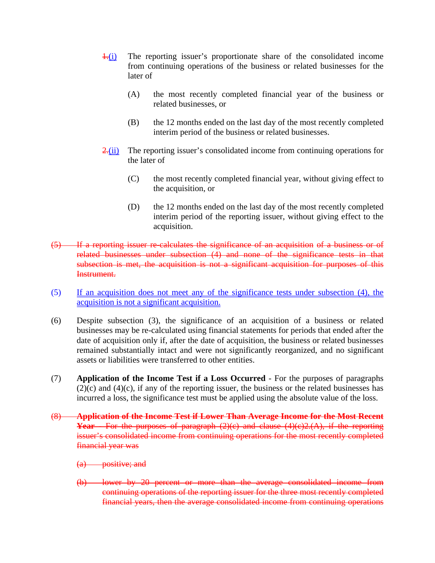- $\frac{1}{1}$ .(i) The reporting issuer's proportionate share of the consolidated income from continuing operations of the business or related businesses for the later of
	- (A) the most recently completed financial year of the business or related businesses, or
	- (B) the 12 months ended on the last day of the most recently completed interim period of the business or related businesses.
- $\frac{2\pi i}{i}$  The reporting issuer's consolidated income from continuing operations for the later of
	- (C) the most recently completed financial year, without giving effect to the acquisition, or
	- (D) the 12 months ended on the last day of the most recently completed interim period of the reporting issuer, without giving effect to the acquisition.
- (5) If a reporting issuer re-calculates the significance of an acquisition of a business or of related businesses under subsection (4) and none of the significance tests in that subsection is met, the acquisition is not a significant acquisition for purposes of this Instrument.
- (5) If an acquisition does not meet any of the significance tests under subsection (4), the acquisition is not a significant acquisition.
- (6) Despite subsection (3), the significance of an acquisition of a business or related businesses may be re-calculated using financial statements for periods that ended after the date of acquisition only if, after the date of acquisition, the business or related businesses remained substantially intact and were not significantly reorganized, and no significant assets or liabilities were transferred to other entities.
- (7) **Application of the Income Test if a Loss Occurred** For the purposes of paragraphs  $(2)(c)$  and  $(4)(c)$ , if any of the reporting issuer, the business or the related businesses has incurred a loss, the significance test must be applied using the absolute value of the loss.
- (8) **Application of the Income Test if Lower Than Average Income for the Most Recent Year** - For the purposes of paragraph (2)(c) and clause (4)(c)2.(A), if the reporting issuer's consolidated income from continuing operations for the most recently completed financial year was
	- (a) positive; and
	- (b) lower by 20 percent or more than the average consolidated income from continuing operations of the reporting issuer for the three most recently completed financial years, then the average consolidated income from continuing operations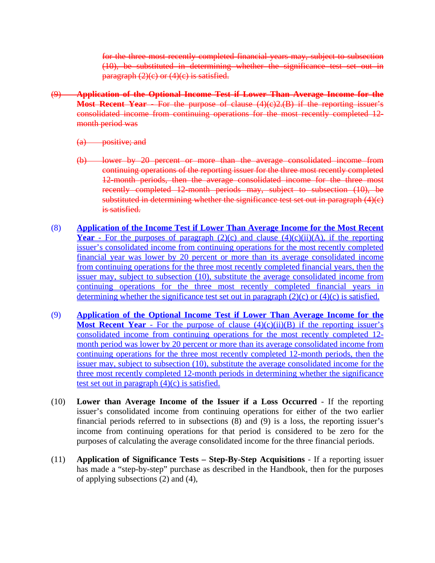for the three most recently completed financial years may, subject to subsection (10), be substituted in determining whether the significance test set out in paragraph  $(2)(e)$  or  $(4)(e)$  is satisfied.

(9) **Application of the Optional Income Test if Lower Than Average Income for the Most Recent Year** - For the purpose of clause (4)(c)2.(B) if the reporting issuer's consolidated income from continuing operations for the most recently completed 12 month period was

#### (a) positive; and

- (b) lower by 20 percent or more than the average consolidated income from continuing operations of the reporting issuer for the three most recently completed 12-month periods, then the average consolidated income for the three most recently completed 12-month periods may, subject to subsection (10), be substituted in determining whether the significance test set out in paragraph (4)(c) is satisfied.
- (8) **Application of the Income Test if Lower Than Average Income for the Most Recent Year** - For the purposes of paragraph  $(2)(c)$  and clause  $(4)(c)(ii)(A)$ , if the reporting issuer's consolidated income from continuing operations for the most recently completed financial year was lower by 20 percent or more than its average consolidated income from continuing operations for the three most recently completed financial years, then the issuer may, subject to subsection (10), substitute the average consolidated income from continuing operations for the three most recently completed financial years in determining whether the significance test set out in paragraph  $(2)(c)$  or  $(4)(c)$  is satisfied.
- (9) **Application of the Optional Income Test if Lower Than Average Income for the Most Recent Year** - For the purpose of clause  $(4)(c)(ii)(B)$  if the reporting issuer's consolidated income from continuing operations for the most recently completed 12 month period was lower by 20 percent or more than its average consolidated income from continuing operations for the three most recently completed 12-month periods, then the issuer may, subject to subsection (10), substitute the average consolidated income for the three most recently completed 12-month periods in determining whether the significance test set out in paragraph  $(4)(c)$  is satisfied.
- (10) **Lower than Average Income of the Issuer if a Loss Occurred**  If the reporting issuer's consolidated income from continuing operations for either of the two earlier financial periods referred to in subsections (8) and (9) is a loss, the reporting issuer's income from continuing operations for that period is considered to be zero for the purposes of calculating the average consolidated income for the three financial periods.
- (11) **Application of Significance Tests Step-By-Step Acquisitions** If a reporting issuer has made a "step-by-step" purchase as described in the Handbook, then for the purposes of applying subsections (2) and (4),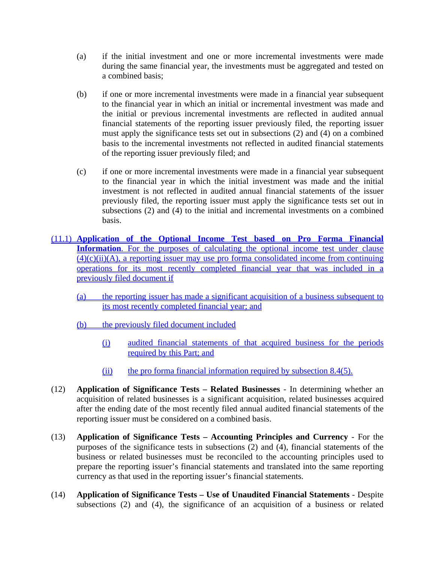- (a) if the initial investment and one or more incremental investments were made during the same financial year, the investments must be aggregated and tested on a combined basis;
- (b) if one or more incremental investments were made in a financial year subsequent to the financial year in which an initial or incremental investment was made and the initial or previous incremental investments are reflected in audited annual financial statements of the reporting issuer previously filed, the reporting issuer must apply the significance tests set out in subsections (2) and (4) on a combined basis to the incremental investments not reflected in audited financial statements of the reporting issuer previously filed; and
- (c) if one or more incremental investments were made in a financial year subsequent to the financial year in which the initial investment was made and the initial investment is not reflected in audited annual financial statements of the issuer previously filed, the reporting issuer must apply the significance tests set out in subsections (2) and (4) to the initial and incremental investments on a combined basis.
- (11.1) **Application of the Optional Income Test based on Pro Forma Financial Information**. For the purposes of calculating the optional income test under clause  $(4)(c)(ii)(A)$ , a reporting issuer may use pro forma consolidated income from continuing operations for its most recently completed financial year that was included in a previously filed document if
	- (a) the reporting issuer has made a significant acquisition of a business subsequent to its most recently completed financial year; and
	- (b) the previously filed document included
		- (i) audited financial statements of that acquired business for the periods required by this Part; and
		- $(ii)$  the pro forma financial information required by subsection 8.4(5).
- (12) **Application of Significance Tests Related Businesses** In determining whether an acquisition of related businesses is a significant acquisition, related businesses acquired after the ending date of the most recently filed annual audited financial statements of the reporting issuer must be considered on a combined basis.
- (13) **Application of Significance Tests Accounting Principles and Currency** For the purposes of the significance tests in subsections (2) and (4), financial statements of the business or related businesses must be reconciled to the accounting principles used to prepare the reporting issuer's financial statements and translated into the same reporting currency as that used in the reporting issuer's financial statements.
- (14) **Application of Significance Tests Use of Unaudited Financial Statements** Despite subsections (2) and (4), the significance of an acquisition of a business or related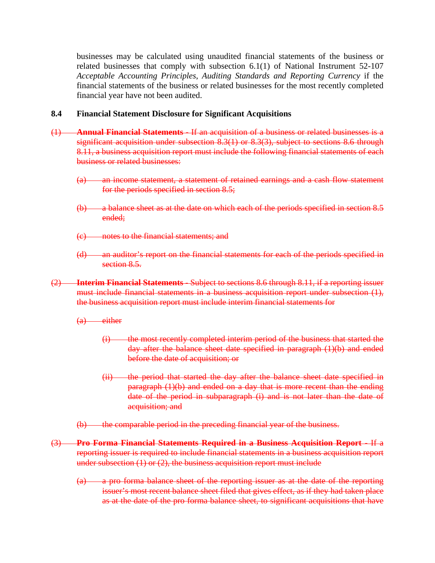businesses may be calculated using unaudited financial statements of the business or related businesses that comply with subsection 6.1(1) of National Instrument 52-107 *Acceptable Accounting Principles*, *Auditing Standards and Reporting Currency* if the financial statements of the business or related businesses for the most recently completed financial year have not been audited.

#### **8.4 Financial Statement Disclosure for Significant Acquisitions**

- (1) **Annual Financial Statements** If an acquisition of a business or related businesses is a significant acquisition under subsection 8.3(1) or 8.3(3), subject to sections 8.6 through 8.11, a business acquisition report must include the following financial statements of each business or related businesses:
	- (a) an income statement, a statement of retained earnings and a cash flow statement for the periods specified in section 8.5;
	- (b) a balance sheet as at the date on which each of the periods specified in section 8.5 ended;
	- (c) notes to the financial statements; and
	- (d) an auditor's report on the financial statements for each of the periods specified in section 8.5.
- (2) **Interim Financial Statements** Subject to sections 8.6 through 8.11, if a reporting issuer must include financial statements in a business acquisition report under subsection (1), the business acquisition report must include interim financial statements for
	- $(a)$  either
		- (i) the most recently completed interim period of the business that started the day after the balance sheet date specified in paragraph (1)(b) and ended before the date of acquisition; or
		- (ii) the period that started the day after the balance sheet date specified in paragraph (1)(b) and ended on a day that is more recent than the ending date of the period in subparagraph (i) and is not later than the date of acquisition; and
	- (b) the comparable period in the preceding financial year of the business.
- (3) **Pro Forma Financial Statements Required in a Business Acquisition Report -** If a reporting issuer is required to include financial statements in a business acquisition report under subsection (1) or (2), the business acquisition report must include
	- (a) a pro forma balance sheet of the reporting issuer as at the date of the reporting issuer's most recent balance sheet filed that gives effect, as if they had taken place as at the date of the pro forma balance sheet, to significant acquisitions that have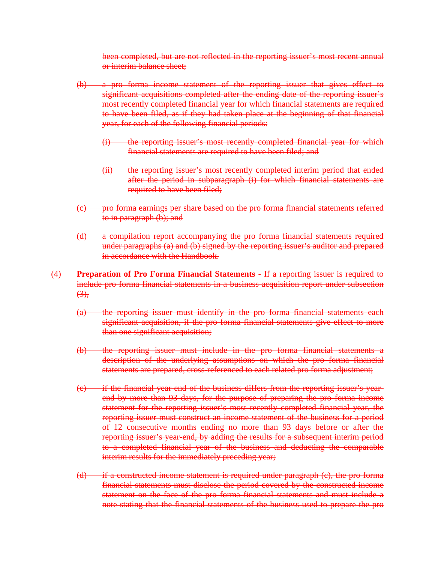been completed, but are not reflected in the reporting issuer's most recent annual or interim balance sheet;

- (b) a pro forma income statement of the reporting issuer that gives effect to significant acquisitions completed after the ending date of the reporting issuer's most recently completed financial year for which financial statements are required to have been filed, as if they had taken place at the beginning of that financial year, for each of the following financial periods:
	- (i) the reporting issuer's most recently completed financial year for which financial statements are required to have been filed; and
	- (ii) the reporting issuer's most recently completed interim period that ended after the period in subparagraph (i) for which financial statements are required to have been filed;
- (c) pro forma earnings per share based on the pro forma financial statements referred to in paragraph (b); and
- (d) a compilation report accompanying the pro forma financial statements required under paragraphs (a) and (b) signed by the reporting issuer's auditor and prepared in accordance with the Handbook.
- (4) **Preparation of Pro Forma Financial Statements -** If a reporting issuer is required to include pro forma financial statements in a business acquisition report under subsection  $(3)$ ,
	- (a) the reporting issuer must identify in the pro forma financial statements each significant acquisition, if the pro forma financial statements give effect to more than one significant acquisition;
	- (b) the reporting issuer must include in the pro forma financial statements a description of the underlying assumptions on which the pro forma financial statements are prepared, cross-referenced to each related pro forma adjustment;
	- $\epsilon$ ) if the financial year-end of the business differs from the reporting issuer's yearend by more than 93 days, for the purpose of preparing the pro forma income statement for the reporting issuer's most recently completed financial year, the reporting issuer must construct an income statement of the business for a period of 12 consecutive months ending no more than 93 days before or after the reporting issuer's year-end, by adding the results for a subsequent interim period to a completed financial year of the business and deducting the comparable interim results for the immediately preceding year;
	- (d) if a constructed income statement is required under paragraph (c), the pro forma financial statements must disclose the period covered by the constructed income statement on the face of the pro forma financial statements and must include a note stating that the financial statements of the business used to prepare the pro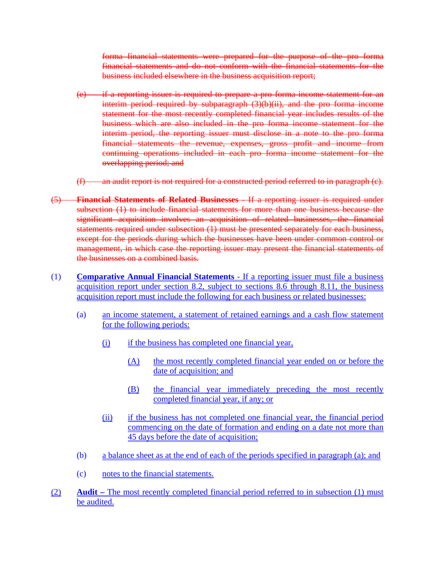forma financial statements were prepared for the purpose of the pro forma financial statements and do not conform with the financial statements for the business included elsewhere in the business acquisition report;

- (e) if a reporting issuer is required to prepare a pro forma income statement for an interim period required by subparagraph (3)(b)(ii), and the pro forma income statement for the most recently completed financial year includes results of the business which are also included in the pro forma income statement for the interim period, the reporting issuer must disclose in a note to the pro forma financial statements the revenue, expenses, gross profit and income from continuing operations included in each pro forma income statement for the overlapping period; and
- (f) an audit report is not required for a constructed period referred to in paragraph (c).
- (5) **Financial Statements of Related Businesses** If a reporting issuer is required under subsection (1) to include financial statements for more than one business because the significant acquisition involves an acquisition of related businesses, the financial statements required under subsection (1) must be presented separately for each business, except for the periods during which the businesses have been under common control or management, in which case the reporting issuer may present the financial statements of the businesses on a combined basis.
- (1) **Comparative Annual Financial Statements** If a reporting issuer must file a business acquisition report under section 8.2, subject to sections 8.6 through 8.11, the business acquisition report must include the following for each business or related businesses:
	- (a) an income statement, a statement of retained earnings and a cash flow statement for the following periods:
		- (i) if the business has completed one financial year,
			- (A) the most recently completed financial year ended on or before the date of acquisition; and
			- (B) the financial year immediately preceding the most recently completed financial year, if any; or
		- (ii) if the business has not completed one financial year, the financial period commencing on the date of formation and ending on a date not more than 45 days before the date of acquisition;
	- (b) a balance sheet as at the end of each of the periods specified in paragraph (a); and
	- (c) notes to the financial statements.
- (2) **Audit** The most recently completed financial period referred to in subsection (1) must be audited.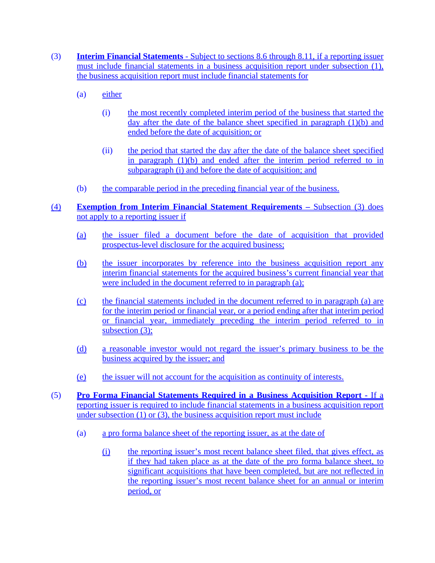- (3) **Interim Financial Statements** Subject to sections 8.6 through 8.11, if a reporting issuer must include financial statements in a business acquisition report under subsection (1), the business acquisition report must include financial statements for
	- (a) either
		- (i) the most recently completed interim period of the business that started the day after the date of the balance sheet specified in paragraph (1)(b) and ended before the date of acquisition; or
		- (ii) the period that started the day after the date of the balance sheet specified in paragraph (1)(b) and ended after the interim period referred to in subparagraph (i) and before the date of acquisition; and
	- (b) the comparable period in the preceding financial year of the business.

# (4) **Exemption from Interim Financial Statement Requirements –** Subsection (3) does not apply to a reporting issuer if

- (a) the issuer filed a document before the date of acquisition that provided prospectus-level disclosure for the acquired business;
- (b) the issuer incorporates by reference into the business acquisition report any interim financial statements for the acquired business's current financial year that were included in the document referred to in paragraph (a);
- (c) the financial statements included in the document referred to in paragraph (a) are for the interim period or financial year, or a period ending after that interim period or financial year, immediately preceding the interim period referred to in subsection (3);
- (d) a reasonable investor would not regard the issuer's primary business to be the business acquired by the issuer; and
- (e) the issuer will not account for the acquisition as continuity of interests.
- (5) **Pro Forma Financial Statements Required in a Business Acquisition Report** If a reporting issuer is required to include financial statements in a business acquisition report under subsection (1) or (3), the business acquisition report must include
	- (a) a pro forma balance sheet of the reporting issuer, as at the date of
		- (i) the reporting issuer's most recent balance sheet filed, that gives effect, as if they had taken place as at the date of the pro forma balance sheet, to significant acquisitions that have been completed, but are not reflected in the reporting issuer's most recent balance sheet for an annual or interim period, or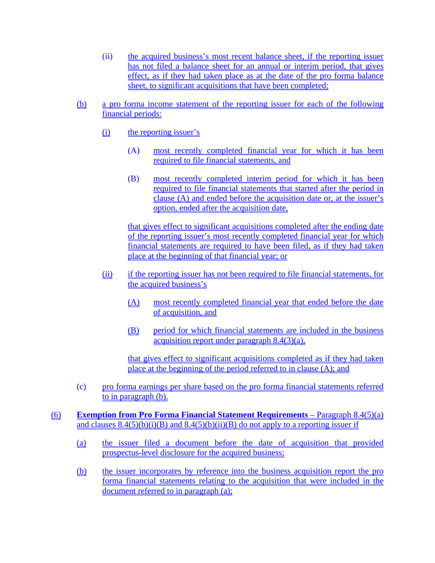- (ii) the acquired business's most recent balance sheet, if the reporting issuer has not filed a balance sheet for an annual or interim period, that gives effect, as if they had taken place as at the date of the pro forma balance sheet, to significant acquisitions that have been completed;
- (b) a pro forma income statement of the reporting issuer for each of the following financial periods:
	- (i) the reporting issuer's
		- (A) most recently completed financial year for which it has been required to file financial statements, and
		- (B) most recently completed interim period for which it has been required to file financial statements that started after the period in clause (A) and ended before the acquisition date or, at the issuer's option, ended after the acquisition date,

that gives effect to significant acquisitions completed after the ending date of the reporting issuer's most recently completed financial year for which financial statements are required to have been filed, as if they had taken place at the beginning of that financial year; or

- (ii) if the reporting issuer has not been required to file financial statements, for the acquired business's
	- (A) most recently completed financial year that ended before the date of acquisition, and
	- (B) period for which financial statements are included in the business acquisition report under paragraph 8.4(3)(a),

that gives effect to significant acquisitions completed as if they had taken place at the beginning of the period referred to in clause (A); and

- (c) pro forma earnings per share based on the pro forma financial statements referred to in paragraph (b).
- (6) **Exemption from Pro Forma Financial Statement Requirements** Paragraph 8.4(5)(a) and clauses  $8.4(5)(b)(i)(B)$  and  $8.4(5)(b)(ii)(B)$  do not apply to a reporting issuer if
	- (a) the issuer filed a document before the date of acquisition that provided prospectus-level disclosure for the acquired business;
	- (b) the issuer incorporates by reference into the business acquisition report the pro forma financial statements relating to the acquisition that were included in the document referred to in paragraph (a);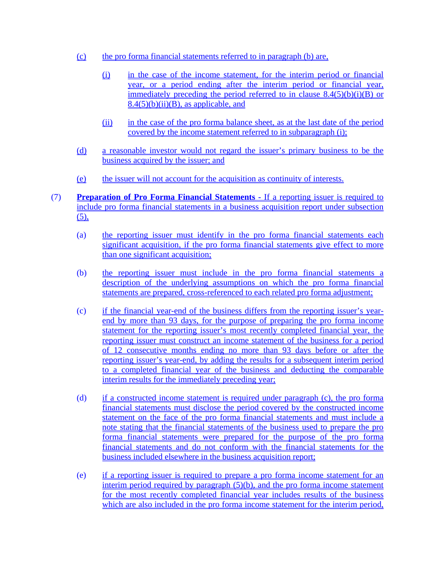- (c) the pro forma financial statements referred to in paragraph (b) are,
	- (i) in the case of the income statement, for the interim period or financial year, or a period ending after the interim period or financial year, immediately preceding the period referred to in clause  $8.4(5)(b)(i)(B)$  or  $8.4(5)(b)(ii)(B)$ , as applicable, and
	- (ii) in the case of the pro forma balance sheet, as at the last date of the period covered by the income statement referred to in subparagraph (i);
- (d) a reasonable investor would not regard the issuer's primary business to be the business acquired by the issuer; and
- (e) the issuer will not account for the acquisition as continuity of interests.
- (7) **Preparation of Pro Forma Financial Statements** If a reporting issuer is required to include pro forma financial statements in a business acquisition report under subsection  $(5)$ ,
	- (a) the reporting issuer must identify in the pro forma financial statements each significant acquisition, if the pro forma financial statements give effect to more than one significant acquisition;
	- (b) the reporting issuer must include in the pro forma financial statements a description of the underlying assumptions on which the pro forma financial statements are prepared, cross-referenced to each related pro forma adjustment;
	- (c) if the financial year-end of the business differs from the reporting issuer's yearend by more than 93 days, for the purpose of preparing the pro forma income statement for the reporting issuer's most recently completed financial year, the reporting issuer must construct an income statement of the business for a period of 12 consecutive months ending no more than 93 days before or after the reporting issuer's year-end, by adding the results for a subsequent interim period to a completed financial year of the business and deducting the comparable interim results for the immediately preceding year;
	- (d) if a constructed income statement is required under paragraph (c), the pro forma financial statements must disclose the period covered by the constructed income statement on the face of the pro forma financial statements and must include a note stating that the financial statements of the business used to prepare the pro forma financial statements were prepared for the purpose of the pro forma financial statements and do not conform with the financial statements for the business included elsewhere in the business acquisition report;
	- (e) if a reporting issuer is required to prepare a pro forma income statement for an interim period required by paragraph  $(5)(b)$ , and the pro forma income statement for the most recently completed financial year includes results of the business which are also included in the pro forma income statement for the interim period,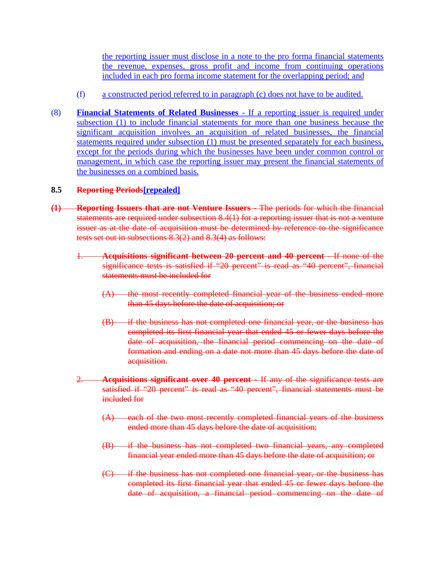the reporting issuer must disclose in a note to the pro forma financial statements the revenue, expenses, gross profit and income from continuing operations included in each pro forma income statement for the overlapping period; and

- (f) a constructed period referred to in paragraph (c) does not have to be audited.
- (8) **Financial Statements of Related Businesses** If a reporting issuer is required under subsection (1) to include financial statements for more than one business because the significant acquisition involves an acquisition of related businesses, the financial statements required under subsection (1) must be presented separately for each business, except for the periods during which the businesses have been under common control or management, in which case the reporting issuer may present the financial statements of the businesses on a combined basis.

#### **8.5 Reporting Periods[repealed]**

- **(1) Reporting Issuers that are not Venture Issuers** The periods for which the financial statements are required under subsection 8.4(1) for a reporting issuer that is not a venture issuer as at the date of acquisition must be determined by reference to the significance tests set out in subsections 8.3(2) and 8.3(4) as follows:
	- 1. **Acquisitions significant between 20 percent and 40 percent** If none of the significance tests is satisfied if "20 percent" is read as "40 percent", financial statements must be included for
		- (A) the most recently completed financial year of the business ended more than 45 days before the date of acquisition; or
		- (B) if the business has not completed one financial year, or the business has completed its first financial year that ended 45 or fewer days before the date of acquisition, the financial period commencing on the date of formation and ending on a date not more than 45 days before the date of acquisition.
	- 2. **Acquisitions significant over 40 percent** If any of the significance tests are satisfied if "20 percent" is read as "40 percent", financial statements must be included for
		- (A) each of the two most recently completed financial years of the business ended more than 45 days before the date of acquisition;
		- (B) if the business has not completed two financial years, any completed financial year ended more than 45 days before the date of acquisition; or
		- (C) if the business has not completed one financial year, or the business has completed its first financial year that ended 45 or fewer days before the date of acquisition, a financial period commencing on the date of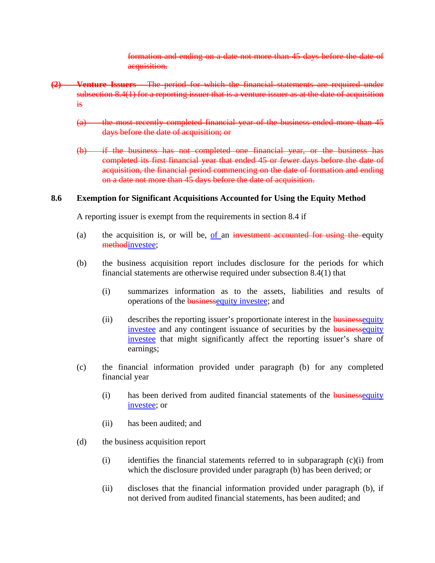formation and ending on a date not more than 45 days before the date of acquisition.

- **(2) Venture Issuers** The period for which the financial statements are required under subsection 8.4(1) for a reporting issuer that is a venture issuer as at the date of acquisition is
	- (a) the most recently completed financial year of the business ended more than 45 days before the date of acquisition; or
	- (b) if the business has not completed one financial year, or the business has completed its first financial year that ended 45 or fewer days before the date of acquisition, the financial period commencing on the date of formation and ending on a date not more than 45 days before the date of acquisition.

#### **8.6 Exemption for Significant Acquisitions Accounted for Using the Equity Method**

A reporting issuer is exempt from the requirements in section 8.4 if

- (a) the acquisition is, or will be, of an investment accounted for using the equity methodinvestee;
- (b) the business acquisition report includes disclosure for the periods for which financial statements are otherwise required under subsection 8.4(1) that
	- (i) summarizes information as to the assets, liabilities and results of operations of the businessequity investee; and
	- (ii) describes the reporting issuer's proportionate interest in the business equity investee and any contingent issuance of securities by the businessequity investee that might significantly affect the reporting issuer's share of earnings;
- (c) the financial information provided under paragraph (b) for any completed financial year
	- (i) has been derived from audited financial statements of the **business** equity investee; or
	- (ii) has been audited; and
- (d) the business acquisition report
	- $(i)$  identifies the financial statements referred to in subparagraph  $(c)(i)$  from which the disclosure provided under paragraph (b) has been derived; or
	- (ii) discloses that the financial information provided under paragraph (b), if not derived from audited financial statements, has been audited; and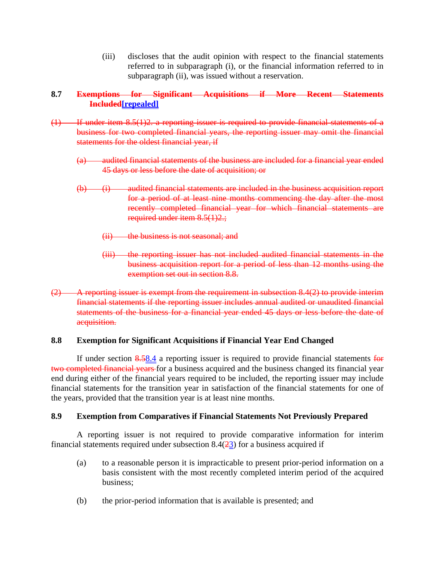(iii) discloses that the audit opinion with respect to the financial statements referred to in subparagraph (i), or the financial information referred to in subparagraph (ii), was issued without a reservation.

#### **8.7 Exemptions for Significant Acquisitions if More Recent Statements Included[repealed]**

- $(1)$  If under item 8.5(1)2. a reporting issuer is required to provide financial statements of a business for two completed financial years, the reporting issuer may omit the financial statements for the oldest financial year, if
	- (a) audited financial statements of the business are included for a financial year ended 45 days or less before the date of acquisition; or
	- (b) (i) audited financial statements are included in the business acquisition report for a period of at least nine months commencing the day after the most recently completed financial year for which financial statements are required under item 8.5(1)2.;
		- (ii) the business is not seasonal; and
		- (iii) the reporting issuer has not included audited financial statements in the business acquisition report for a period of less than 12 months using the exemption set out in section 8.8.
- $(2)$  A reporting issuer is exempt from the requirement in subsection 8.4(2) to provide interim financial statements if the reporting issuer includes annual audited or unaudited financial statements of the business for a financial year ended 45 days or less before the date of acquisition.

#### **8.8 Exemption for Significant Acquisitions if Financial Year End Changed**

If under section 8.58.4 a reporting issuer is required to provide financial statements for two completed financial years for a business acquired and the business changed its financial year end during either of the financial years required to be included, the reporting issuer may include financial statements for the transition year in satisfaction of the financial statements for one of the years, provided that the transition year is at least nine months.

#### **8.9 Exemption from Comparatives if Financial Statements Not Previously Prepared**

A reporting issuer is not required to provide comparative information for interim financial statements required under subsection  $8.4(\frac{23}{2})$  for a business acquired if

- (a) to a reasonable person it is impracticable to present prior-period information on a basis consistent with the most recently completed interim period of the acquired business;
- (b) the prior-period information that is available is presented; and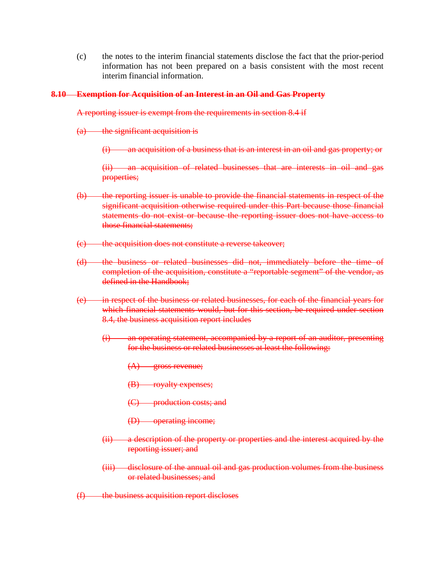(c) the notes to the interim financial statements disclose the fact that the prior-period information has not been prepared on a basis consistent with the most recent interim financial information.

#### **8.10 Exemption for Acquisition of an Interest in an Oil and Gas Property**

A reporting issuer is exempt from the requirements in section 8.4 if

- $(a)$  the significant acquisition is
	- (i) an acquisition of a business that is an interest in an oil and gas property; or

(ii) an acquisition of related businesses that are interests in oil and gas properties;

- (b) the reporting issuer is unable to provide the financial statements in respect of the significant acquisition otherwise required under this Part because those financial statements do not exist or because the reporting issuer does not have access to those financial statements;
- (c) the acquisition does not constitute a reverse takeover;
- (d) the business or related businesses did not, immediately before the time of completion of the acquisition, constitute a "reportable segment" of the vendor, as defined in the Handbook;
- (e) in respect of the business or related businesses, for each of the financial years for which financial statements would, but for this section, be required under section 8.4, the business acquisition report includes
	- (i) an operating statement, accompanied by a report of an auditor, presenting for the business or related businesses at least the following:
		- (A) gross revenue;
		- (B) royalty expenses;
		- (C) production costs; and
		- (D) operating income;
	- (ii) a description of the property or properties and the interest acquired by the reporting issuer; and
	- (iii) disclosure of the annual oil and gas production volumes from the business or related businesses; and

(f) the business acquisition report discloses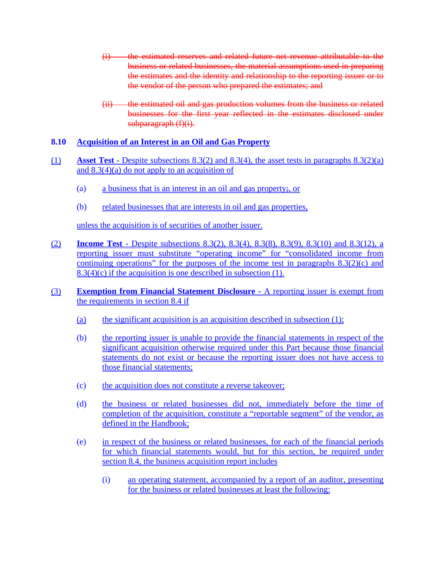- (i) the estimated reserves and related future net revenue attributable to the business or related businesses, the material assumptions used in preparing the estimates and the identity and relationship to the reporting issuer or to the vendor of the person who prepared the estimates; and
- (ii) the estimated oil and gas production volumes from the business or related businesses for the first year reflected in the estimates disclosed under  $subparagnb$  (f)(i).

# **8.10 Acquisition of an Interest in an Oil and Gas Property**

- (1) **Asset Test** Despite subsections 8.3(2) and 8.3(4), the asset tests in paragraphs 8.3(2)(a) and 8.3(4)(a) do not apply to an acquisition of
	- (a) a business that is an interest in an oil and gas property;, or
	- (b) related businesses that are interests in oil and gas properties,

unless the acquisition is of securities of another issuer.

- (2) **Income Test** Despite subsections 8.3(2), 8.3(4), 8.3(8), 8.3(9), 8.3(10) and 8.3(12), a reporting issuer must substitute "operating income" for "consolidated income from continuing operations" for the purposes of the income test in paragraphs  $8.3(2)(c)$  and 8.3(4)(c) if the acquisition is one described in subsection (1).
- (3) **Exemption from Financial Statement Disclosure** A reporting issuer is exempt from the requirements in section 8.4 if
	- (a) the significant acquisition is an acquisition described in subsection  $(1)$ ;
	- (b) the reporting issuer is unable to provide the financial statements in respect of the significant acquisition otherwise required under this Part because those financial statements do not exist or because the reporting issuer does not have access to those financial statements;
	- (c) the acquisition does not constitute a reverse takeover;
	- (d) the business or related businesses did not, immediately before the time of completion of the acquisition, constitute a "reportable segment" of the vendor, as defined in the Handbook;
	- (e) in respect of the business or related businesses, for each of the financial periods for which financial statements would, but for this section, be required under section 8.4, the business acquisition report includes
		- (i) an operating statement, accompanied by a report of an auditor, presenting for the business or related businesses at least the following: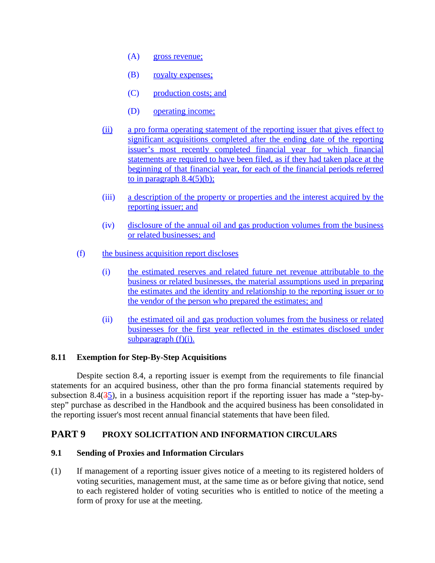- (A) gross revenue;
- (B) royalty expenses;
- (C) production costs; and
- (D) operating income;
- (ii) a pro forma operating statement of the reporting issuer that gives effect to significant acquisitions completed after the ending date of the reporting issuer's most recently completed financial year for which financial statements are required to have been filed, as if they had taken place at the beginning of that financial year, for each of the financial periods referred to in paragraph  $8.4(5)(b)$ :
- (iii) a description of the property or properties and the interest acquired by the reporting issuer; and
- (iv) disclosure of the annual oil and gas production volumes from the business or related businesses; and
- (f) the business acquisition report discloses
	- (i) the estimated reserves and related future net revenue attributable to the business or related businesses, the material assumptions used in preparing the estimates and the identity and relationship to the reporting issuer or to the vendor of the person who prepared the estimates; and
	- (ii) the estimated oil and gas production volumes from the business or related businesses for the first year reflected in the estimates disclosed under subparagraph  $(f)(i)$ .

# **8.11 Exemption for Step-By-Step Acquisitions**

Despite section 8.4, a reporting issuer is exempt from the requirements to file financial statements for an acquired business, other than the pro forma financial statements required by subsection 8.4( $\frac{35}{2}$ ), in a business acquisition report if the reporting issuer has made a "step-bystep" purchase as described in the Handbook and the acquired business has been consolidated in the reporting issuer's most recent annual financial statements that have been filed.

# **PART 9 PROXY SOLICITATION AND INFORMATION CIRCULARS**

#### **9.1 Sending of Proxies and Information Circulars**

(1) If management of a reporting issuer gives notice of a meeting to its registered holders of voting securities, management must, at the same time as or before giving that notice, send to each registered holder of voting securities who is entitled to notice of the meeting a form of proxy for use at the meeting.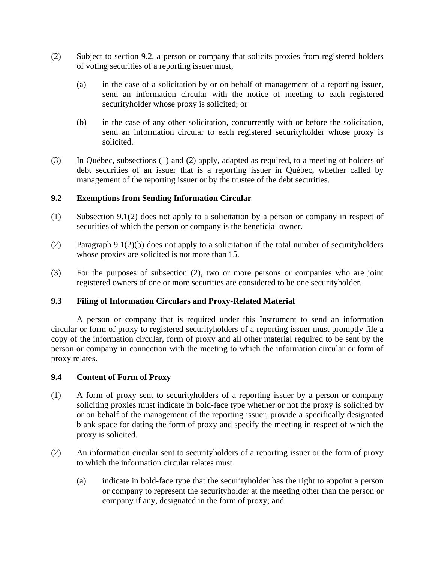- (2) Subject to section 9.2, a person or company that solicits proxies from registered holders of voting securities of a reporting issuer must,
	- (a) in the case of a solicitation by or on behalf of management of a reporting issuer, send an information circular with the notice of meeting to each registered securityholder whose proxy is solicited; or
	- (b) in the case of any other solicitation, concurrently with or before the solicitation, send an information circular to each registered securityholder whose proxy is solicited.
- (3) In Québec, subsections (1) and (2) apply, adapted as required, to a meeting of holders of debt securities of an issuer that is a reporting issuer in Québec, whether called by management of the reporting issuer or by the trustee of the debt securities.

#### **9.2 Exemptions from Sending Information Circular**

- (1) Subsection 9.1(2) does not apply to a solicitation by a person or company in respect of securities of which the person or company is the beneficial owner.
- (2) Paragraph 9.1(2)(b) does not apply to a solicitation if the total number of securityholders whose proxies are solicited is not more than 15.
- (3) For the purposes of subsection (2), two or more persons or companies who are joint registered owners of one or more securities are considered to be one securityholder.

# **9.3 Filing of Information Circulars and Proxy-Related Material**

A person or company that is required under this Instrument to send an information circular or form of proxy to registered securityholders of a reporting issuer must promptly file a copy of the information circular, form of proxy and all other material required to be sent by the person or company in connection with the meeting to which the information circular or form of proxy relates.

#### **9.4 Content of Form of Proxy**

- (1) A form of proxy sent to securityholders of a reporting issuer by a person or company soliciting proxies must indicate in bold-face type whether or not the proxy is solicited by or on behalf of the management of the reporting issuer, provide a specifically designated blank space for dating the form of proxy and specify the meeting in respect of which the proxy is solicited.
- (2) An information circular sent to securityholders of a reporting issuer or the form of proxy to which the information circular relates must
	- (a) indicate in bold-face type that the securityholder has the right to appoint a person or company to represent the securityholder at the meeting other than the person or company if any, designated in the form of proxy; and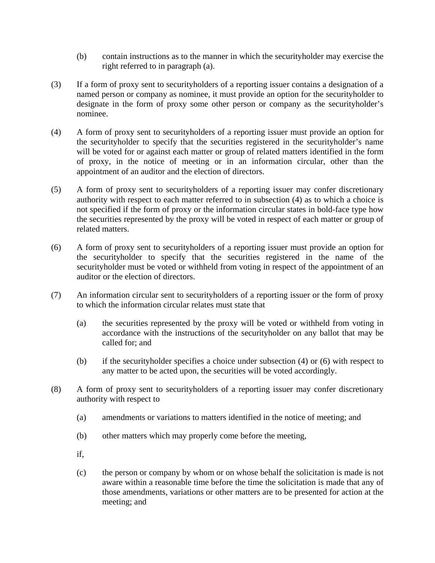- (b) contain instructions as to the manner in which the securityholder may exercise the right referred to in paragraph (a).
- (3) If a form of proxy sent to securityholders of a reporting issuer contains a designation of a named person or company as nominee, it must provide an option for the securityholder to designate in the form of proxy some other person or company as the securityholder's nominee.
- (4) A form of proxy sent to securityholders of a reporting issuer must provide an option for the securityholder to specify that the securities registered in the securityholder's name will be voted for or against each matter or group of related matters identified in the form of proxy, in the notice of meeting or in an information circular, other than the appointment of an auditor and the election of directors.
- (5) A form of proxy sent to securityholders of a reporting issuer may confer discretionary authority with respect to each matter referred to in subsection (4) as to which a choice is not specified if the form of proxy or the information circular states in bold-face type how the securities represented by the proxy will be voted in respect of each matter or group of related matters.
- (6) A form of proxy sent to securityholders of a reporting issuer must provide an option for the securityholder to specify that the securities registered in the name of the securityholder must be voted or withheld from voting in respect of the appointment of an auditor or the election of directors.
- (7) An information circular sent to securityholders of a reporting issuer or the form of proxy to which the information circular relates must state that
	- (a) the securities represented by the proxy will be voted or withheld from voting in accordance with the instructions of the securityholder on any ballot that may be called for; and
	- (b) if the securityholder specifies a choice under subsection (4) or (6) with respect to any matter to be acted upon, the securities will be voted accordingly.
- (8) A form of proxy sent to securityholders of a reporting issuer may confer discretionary authority with respect to
	- (a) amendments or variations to matters identified in the notice of meeting; and
	- (b) other matters which may properly come before the meeting,
	- if,
	- (c) the person or company by whom or on whose behalf the solicitation is made is not aware within a reasonable time before the time the solicitation is made that any of those amendments, variations or other matters are to be presented for action at the meeting; and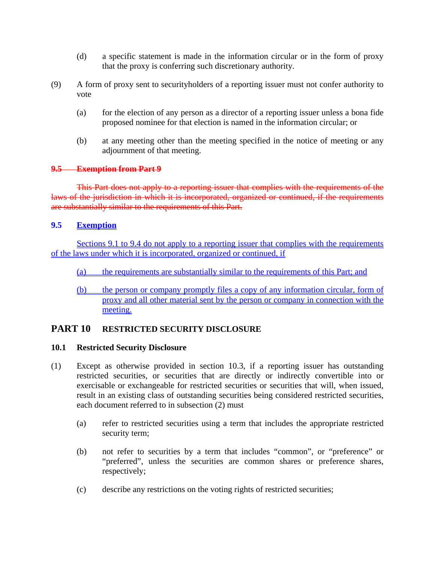- (d) a specific statement is made in the information circular or in the form of proxy that the proxy is conferring such discretionary authority.
- (9) A form of proxy sent to securityholders of a reporting issuer must not confer authority to vote
	- (a) for the election of any person as a director of a reporting issuer unless a bona fide proposed nominee for that election is named in the information circular; or
	- (b) at any meeting other than the meeting specified in the notice of meeting or any adjournment of that meeting.

#### **9.5 Exemption from Part 9**

This Part does not apply to a reporting issuer that complies with the requirements of the laws of the jurisdiction in which it is incorporated, organized or continued, if the requirements are substantially similar to the requirements of this Part.

#### **9.5 Exemption**

Sections 9.1 to 9.4 do not apply to a reporting issuer that complies with the requirements of the laws under which it is incorporated, organized or continued, if

- (a) the requirements are substantially similar to the requirements of this Part; and
- (b) the person or company promptly files a copy of any information circular, form of proxy and all other material sent by the person or company in connection with the meeting.

#### **PART 10 RESTRICTED SECURITY DISCLOSURE**

#### **10.1 Restricted Security Disclosure**

- (1) Except as otherwise provided in section [10.3,](#page-56-0) if a reporting issuer has outstanding restricted securities, or securities that are directly or indirectly convertible into or exercisable or exchangeable for restricted securities or securities that will, when issued, result in an existing class of outstanding securities being considered restricted securities, each document referred to in subsection (2) must
	- (a) refer to restricted securities using a term that includes the appropriate restricted security term;
	- (b) not refer to securities by a term that includes "common", or "preference" or "preferred", unless the securities are common shares or preference shares, respectively;
	- (c) describe any restrictions on the voting rights of restricted securities;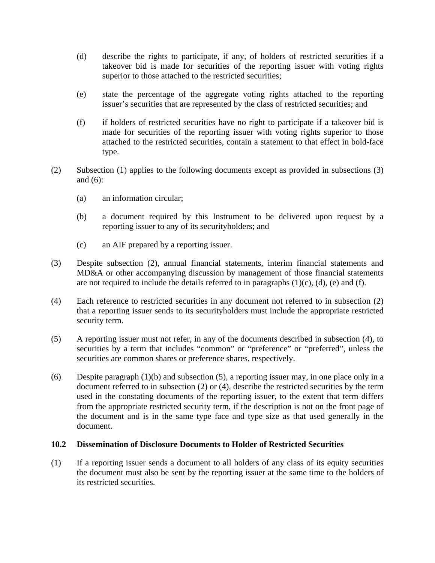- (d) describe the rights to participate, if any, of holders of restricted securities if a takeover bid is made for securities of the reporting issuer with voting rights superior to those attached to the restricted securities;
- (e) state the percentage of the aggregate voting rights attached to the reporting issuer's securities that are represented by the class of restricted securities; and
- (f) if holders of restricted securities have no right to participate if a takeover bid is made for securities of the reporting issuer with voting rights superior to those attached to the restricted securities, contain a statement to that effect in bold-face type.
- (2) Subsection (1) applies to the following documents except as provided in subsections (3) and (6):
	- (a) an information circular;
	- (b) a document required by this Instrument to be delivered upon request by a reporting issuer to any of its securityholders; and
	- (c) an AIF prepared by a reporting issuer.
- (3) Despite subsection (2), annual financial statements, interim financial statements and MD&A or other accompanying discussion by management of those financial statements are not required to include the details referred to in paragraphs  $(1)(c)$ ,  $(d)$ ,  $(e)$  and  $(f)$ .
- (4) Each reference to restricted securities in any document not referred to in subsection (2) that a reporting issuer sends to its securityholders must include the appropriate restricted security term.
- (5) A reporting issuer must not refer, in any of the documents described in subsection (4), to securities by a term that includes "common" or "preference" or "preferred", unless the securities are common shares or preference shares, respectively.
- (6) Despite paragraph (1)(b) and subsection (5), a reporting issuer may, in one place only in a document referred to in subsection (2) or (4), describe the restricted securities by the term used in the constating documents of the reporting issuer, to the extent that term differs from the appropriate restricted security term, if the description is not on the front page of the document and is in the same type face and type size as that used generally in the document.

#### **10.2 Dissemination of Disclosure Documents to Holder of Restricted Securities**

(1) If a reporting issuer sends a document to all holders of any class of its equity securities the document must also be sent by the reporting issuer at the same time to the holders of its restricted securities.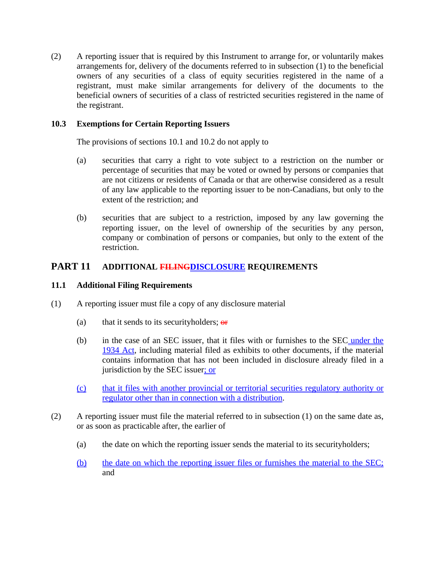(2) A reporting issuer that is required by this Instrument to arrange for, or voluntarily makes arrangements for, delivery of the documents referred to in subsection (1) to the beneficial owners of any securities of a class of equity securities registered in the name of a registrant, must make similar arrangements for delivery of the documents to the beneficial owners of securities of a class of restricted securities registered in the name of the registrant.

## <span id="page-56-0"></span>**10.3 Exemptions for Certain Reporting Issuers**

The provisions of sections 10.1 and 10.2 do not apply to

- (a) securities that carry a right to vote subject to a restriction on the number or percentage of securities that may be voted or owned by persons or companies that are not citizens or residents of Canada or that are otherwise considered as a result of any law applicable to the reporting issuer to be non-Canadians, but only to the extent of the restriction; and
- (b) securities that are subject to a restriction, imposed by any law governing the reporting issuer, on the level of ownership of the securities by any person, company or combination of persons or companies, but only to the extent of the restriction.

# **PART 11 ADDITIONAL FILINGDISCLOSURE REQUIREMENTS**

#### **11.1 Additional Filing Requirements**

- (1) A reporting issuer must file a copy of any disclosure material
	- (a) that it sends to its securityholders;  $\theta$ **F**
	- (b) in the case of an SEC issuer, that it files with or furnishes to the SEC under the 1934 Act, including material filed as exhibits to other documents, if the material contains information that has not been included in disclosure already filed in a jurisdiction by the SEC issuer; or
	- (c) that it files with another provincial or territorial securities regulatory authority or regulator other than in connection with a distribution.
- (2) A reporting issuer must file the material referred to in subsection (1) on the same date as, or as soon as practicable after, the earlier of
	- (a) the date on which the reporting issuer sends the material to its securityholders;
	- (b) the date on which the reporting issuer files or furnishes the material to the SEC; and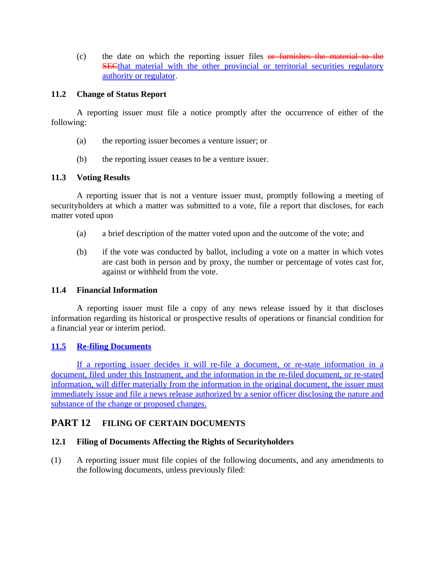(c) the date on which the reporting issuer files or furnishes the material to the SECthat material with the other provincial or territorial securities regulatory authority or regulator.

## **11.2 Change of Status Report**

A reporting issuer must file a notice promptly after the occurrence of either of the following:

- (a) the reporting issuer becomes a venture issuer; or
- (b) the reporting issuer ceases to be a venture issuer.

# **11.3 Voting Results**

A reporting issuer that is not a venture issuer must, promptly following a meeting of securityholders at which a matter was submitted to a vote, file a report that discloses, for each matter voted upon

- (a) a brief description of the matter voted upon and the outcome of the vote; and
- (b) if the vote was conducted by ballot, including a vote on a matter in which votes are cast both in person and by proxy, the number or percentage of votes cast for, against or withheld from the vote.

# **11.4 Financial Information**

A reporting issuer must file a copy of any news release issued by it that discloses information regarding its historical or prospective results of operations or financial condition for a financial year or interim period.

# **11.5 Re-filing Documents**

If a reporting issuer decides it will re-file a document, or re-state information in a document, filed under this Instrument, and the information in the re-filed document, or re-stated information, will differ materially from the information in the original document, the issuer must immediately issue and file a news release authorized by a senior officer disclosing the nature and substance of the change or proposed changes.

# **PART 12 FILING OF CERTAIN DOCUMENTS**

# <span id="page-57-0"></span>**12.1 Filing of Documents Affecting the Rights of Securityholders**

(1) A reporting issuer must file copies of the following documents, and any amendments to the following documents, unless previously filed: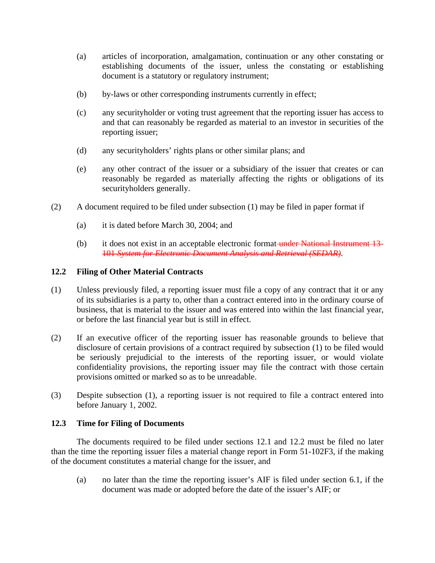- (a) articles of incorporation, amalgamation, continuation or any other constating or establishing documents of the issuer, unless the constating or establishing document is a statutory or regulatory instrument;
- (b) by-laws or other corresponding instruments currently in effect;
- (c) any securityholder or voting trust agreement that the reporting issuer has access to and that can reasonably be regarded as material to an investor in securities of the reporting issuer;
- (d) any securityholders' rights plans or other similar plans; and
- (e) any other contract of the issuer or a subsidiary of the issuer that creates or can reasonably be regarded as materially affecting the rights or obligations of its securityholders generally.
- (2) A document required to be filed under subsection (1) may be filed in paper format if
	- (a) it is dated before March 30, 2004; and
	- (b) it does not exist in an acceptable electronic format under National Instrument 13-101 *System for Electronic Document Analysis and Retrieval (SEDAR)*.

#### <span id="page-58-0"></span>**12.2 Filing of Other Material Contracts**

- (1) Unless previously filed, a reporting issuer must file a copy of any contract that it or any of its subsidiaries is a party to, other than a contract entered into in the ordinary course of business, that is material to the issuer and was entered into within the last financial year, or before the last financial year but is still in effect.
- (2) If an executive officer of the reporting issuer has reasonable grounds to believe that disclosure of certain provisions of a contract required by subsection (1) to be filed would be seriously prejudicial to the interests of the reporting issuer, or would violate confidentiality provisions, the reporting issuer may file the contract with those certain provisions omitted or marked so as to be unreadable.
- (3) Despite subsection (1), a reporting issuer is not required to file a contract entered into before January 1, 2002.

#### **12.3 Time for Filing of Documents**

The documents required to be filed under sections [12.1](#page-57-0) and [12.2](#page-58-0) must be filed no later than the time the reporting issuer files a material change report in Form 51-102F3, if the making of the document constitutes a material change for the issuer, and

(a) no later than the time the reporting issuer's AIF is filed under section 6.1, if the document was made or adopted before the date of the issuer's AIF; or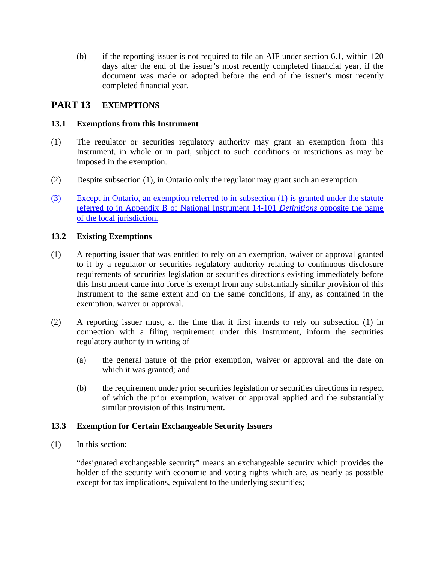(b) if the reporting issuer is not required to file an AIF under section 6.1, within 120 days after the end of the issuer's most recently completed financial year, if the document was made or adopted before the end of the issuer's most recently completed financial year.

# **PART 13 EXEMPTIONS**

## **13.1 Exemptions from this Instrument**

- (1) The regulator or securities regulatory authority may grant an exemption from this Instrument, in whole or in part, subject to such conditions or restrictions as may be imposed in the exemption.
- (2) Despite subsection (1), in Ontario only the regulator may grant such an exemption.
- (3) Except in Ontario, an exemption referred to in subsection (1) is granted under the statute referred to in Appendix B of National Instrument 14-101 *Definitions* opposite the name of the local jurisdiction.

#### **13.2 Existing Exemptions**

- (1) A reporting issuer that was entitled to rely on an exemption, waiver or approval granted to it by a regulator or securities regulatory authority relating to continuous disclosure requirements of securities legislation or securities directions existing immediately before this Instrument came into force is exempt from any substantially similar provision of this Instrument to the same extent and on the same conditions, if any, as contained in the exemption, waiver or approval.
- (2) A reporting issuer must, at the time that it first intends to rely on subsection (1) in connection with a filing requirement under this Instrument, inform the securities regulatory authority in writing of
	- (a) the general nature of the prior exemption, waiver or approval and the date on which it was granted; and
	- (b) the requirement under prior securities legislation or securities directions in respect of which the prior exemption, waiver or approval applied and the substantially similar provision of this Instrument.

# **13.3 Exemption for Certain Exchangeable Security Issuers**

(1) In this section:

"designated exchangeable security" means an exchangeable security which provides the holder of the security with economic and voting rights which are, as nearly as possible except for tax implications, equivalent to the underlying securities;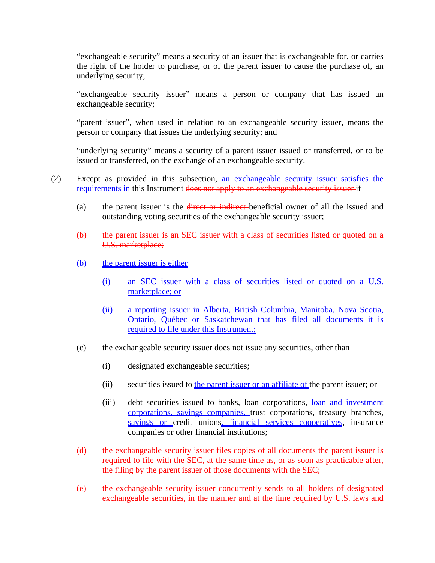"exchangeable security" means a security of an issuer that is exchangeable for, or carries the right of the holder to purchase, or of the parent issuer to cause the purchase of, an underlying security;

"exchangeable security issuer" means a person or company that has issued an exchangeable security;

"parent issuer", when used in relation to an exchangeable security issuer, means the person or company that issues the underlying security; and

"underlying security" means a security of a parent issuer issued or transferred, or to be issued or transferred, on the exchange of an exchangeable security.

- (2) Except as provided in this subsection, an exchangeable security issuer satisfies the requirements in this Instrument does not apply to an exchangeable security issuer if
	- (a) the parent issuer is the direct or indirect beneficial owner of all the issued and outstanding voting securities of the exchangeable security issuer;
	- (b) the parent issuer is an SEC issuer with a class of securities listed or quoted on a U.S. marketplace;
	- (b) the parent issuer is either
		- (i) an SEC issuer with a class of securities listed or quoted on a U.S. marketplace; or
		- (ii) a reporting issuer in Alberta, British Columbia, Manitoba, Nova Scotia, Ontario, Québec or Saskatchewan that has filed all documents it is required to file under this Instrument;
	- (c) the exchangeable security issuer does not issue any securities, other than
		- (i) designated exchangeable securities;
		- (ii) securities issued to the parent issuer or an affiliate of the parent issuer; or
		- (iii) debt securities issued to banks, loan corporations, loan and investment corporations, savings companies, trust corporations, treasury branches, savings or credit unions, financial services cooperatives, insurance companies or other financial institutions;
	- (d) the exchangeable security issuer files copies of all documents the parent issuer is required to file with the SEC, at the same time as, or as soon as practicable after, the filing by the parent issuer of those documents with the SEC;
	- (e) the exchangeable security issuer concurrently sends to all holders of designated exchangeable securities, in the manner and at the time required by U.S. laws and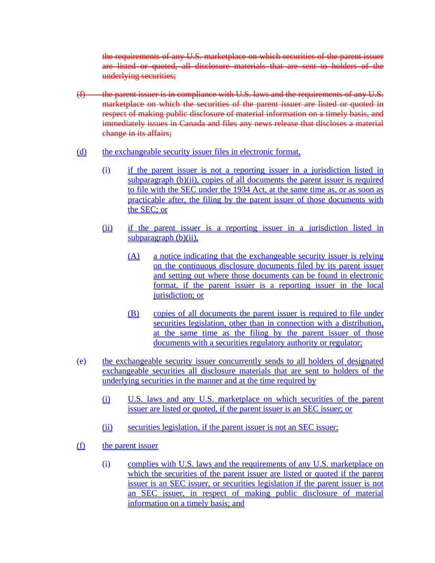the requirements of any U.S. marketplace on which securities of the parent issuer are listed or quoted, all disclosure materials that are sent to holders of the underlying securities;

- (f) the parent issuer is in compliance with U.S. laws and the requirements of any U.S. marketplace on which the securities of the parent issuer are listed or quoted in respect of making public disclosure of material information on a timely basis, and immediately issues in Canada and files any news release that discloses a material change in its affairs;
- (d) the exchangeable security issuer files in electronic format,
	- (i) if the parent issuer is not a reporting issuer in a jurisdiction listed in subparagraph (b)(ii), copies of all documents the parent issuer is required to file with the SEC under the 1934 Act, at the same time as, or as soon as practicable after, the filing by the parent issuer of those documents with the SEC; or
	- (ii) if the parent issuer is a reporting issuer in a jurisdiction listed in subparagraph (b)(ii),
		- (A) a notice indicating that the exchangeable security issuer is relying on the continuous disclosure documents filed by its parent issuer and setting out where those documents can be found in electronic format, if the parent issuer is a reporting issuer in the local jurisdiction; or
		- (B) copies of all documents the parent issuer is required to file under securities legislation, other than in connection with a distribution, at the same time as the filing by the parent issuer of those documents with a securities regulatory authority or regulator;
- (e) the exchangeable security issuer concurrently sends to all holders of designated exchangeable securities all disclosure materials that are sent to holders of the underlying securities in the manner and at the time required by
	- (i) U.S. laws and any U.S. marketplace on which securities of the parent issuer are listed or quoted, if the parent issuer is an SEC issuer; or
	- (ii) securities legislation, if the parent issuer is not an SEC issuer;
- (f) the parent issuer
	- (i) complies with U.S. laws and the requirements of any U.S. marketplace on which the securities of the parent issuer are listed or quoted if the parent issuer is an SEC issuer, or securities legislation if the parent issuer is not an SEC issuer, in respect of making public disclosure of material information on a timely basis; and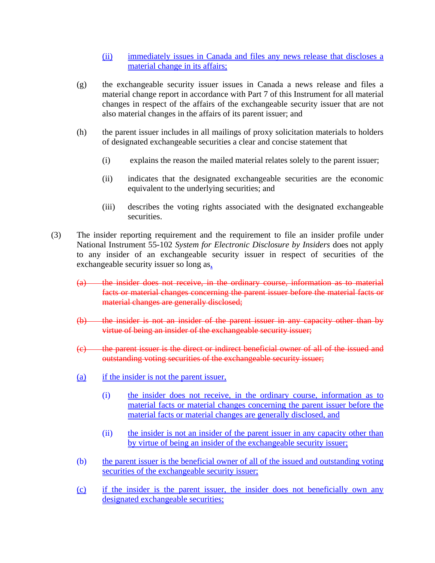- (ii) immediately issues in Canada and files any news release that discloses a material change in its affairs;
- (g) the exchangeable security issuer issues in Canada a news release and files a material change report in accordance with Part 7 of this Instrument for all material changes in respect of the affairs of the exchangeable security issuer that are not also material changes in the affairs of its parent issuer; and
- (h) the parent issuer includes in all mailings of proxy solicitation materials to holders of designated exchangeable securities a clear and concise statement that
	- (i) explains the reason the mailed material relates solely to the parent issuer;
	- (ii) indicates that the designated exchangeable securities are the economic equivalent to the underlying securities; and
	- (iii) describes the voting rights associated with the designated exchangeable securities.
- (3) The insider reporting requirement and the requirement to file an insider profile under National Instrument 55-102 *System for Electronic Disclosure by Insiders* does not apply to any insider of an exchangeable security issuer in respect of securities of the exchangeable security issuer so long as,
	- (a) the insider does not receive, in the ordinary course, information as to material facts or material changes concerning the parent issuer before the material facts or material changes are generally disclosed;
	- (b) the insider is not an insider of the parent issuer in any capacity other than by virtue of being an insider of the exchangeable security issuer;
	- (c) the parent issuer is the direct or indirect beneficial owner of all of the issued and outstanding voting securities of the exchangeable security issuer;
	- (a) if the insider is not the parent issuer,
		- (i) the insider does not receive, in the ordinary course, information as to material facts or material changes concerning the parent issuer before the material facts or material changes are generally disclosed, and
		- (ii) the insider is not an insider of the parent issuer in any capacity other than by virtue of being an insider of the exchangeable security issuer;
	- (b) the parent issuer is the beneficial owner of all of the issued and outstanding voting securities of the exchangeable security issuer;
	- (c) if the insider is the parent issuer, the insider does not beneficially own any designated exchangeable securities;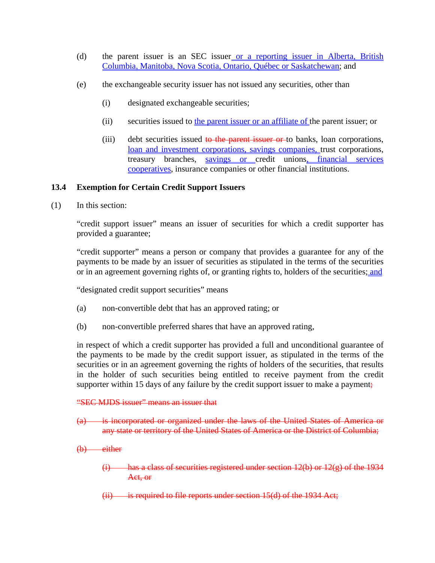- (d) the parent issuer is an SEC issuer or a reporting issuer in Alberta, British Columbia, Manitoba, Nova Scotia, Ontario, Québec or Saskatchewan; and
- (e) the exchangeable security issuer has not issued any securities, other than
	- (i) designated exchangeable securities;
	- (ii) securities issued to the parent issuer or an affiliate of the parent issuer; or
	- (iii) debt securities issued to the parent issuer or to banks, loan corporations, loan and investment corporations, savings companies, trust corporations, treasury branches, savings or credit unions, financial services cooperatives, insurance companies or other financial institutions.

#### **13.4 Exemption for Certain Credit Support Issuers**

(1) In this section:

"credit support issuer" means an issuer of securities for which a credit supporter has provided a guarantee;

"credit supporter" means a person or company that provides a guarantee for any of the payments to be made by an issuer of securities as stipulated in the terms of the securities or in an agreement governing rights of, or granting rights to, holders of the securities; and

"designated credit support securities" means

- (a) non-convertible debt that has an approved rating; or
- (b) non-convertible preferred shares that have an approved rating,

in respect of which a credit supporter has provided a full and unconditional guarantee of the payments to be made by the credit support issuer, as stipulated in the terms of the securities or in an agreement governing the rights of holders of the securities, that results in the holder of such securities being entitled to receive payment from the credit supporter within 15 days of any failure by the credit support issuer to make a payment.

"SEC MJDS issuer" means an issuer that

- (a) is incorporated or organized under the laws of the United States of America or any state or territory of the United States of America or the District of Columbia;
- $(h)$  either
	- (i) has a class of securities registered under section  $12(b)$  or  $12(g)$  of the 1934 Act, or
	- $(ii)$  is required to file reports under section  $15(d)$  of the 1934 Act;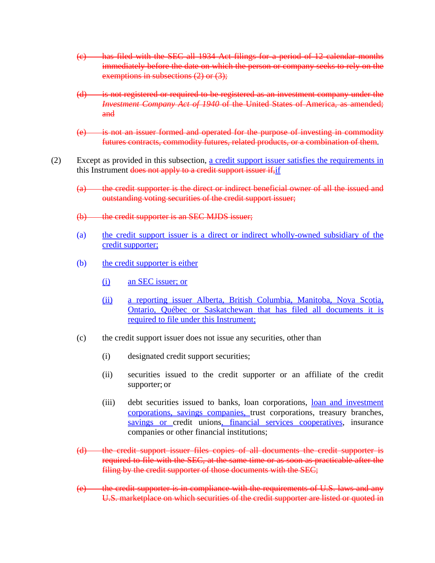- (c) has filed with the SEC all 1934 Act filings for a period of 12 calendar months immediately before the date on which the person or company seeks to rely on the exemptions in subsections (2) or (3);
- (d) is not registered or required to be registered as an investment company under the *Investment Company Act of 1940* of the United States of America, as amended; and
- (e) is not an issuer formed and operated for the purpose of investing in commodity futures contracts, commodity futures, related products, or a combination of them.
- (2) Except as provided in this subsection, a credit support issuer satisfies the requirements in this Instrument does not apply to a credit support issuer if, if
	- (a) the credit supporter is the direct or indirect beneficial owner of all the issued and outstanding voting securities of the credit support issuer;
	- (b) the credit supporter is an SEC MJDS issuer;
	- (a) the credit support issuer is a direct or indirect wholly-owned subsidiary of the credit supporter;
	- (b) the credit supporter is either
		- (i) an SEC issuer; or
		- (ii) a reporting issuer Alberta, British Columbia, Manitoba, Nova Scotia, Ontario, Québec or Saskatchewan that has filed all documents it is required to file under this Instrument;
	- (c) the credit support issuer does not issue any securities, other than
		- (i) designated credit support securities;
		- (ii) securities issued to the credit supporter or an affiliate of the credit supporter; or
		- (iii) debt securities issued to banks, loan corporations, loan and investment corporations, savings companies, trust corporations, treasury branches, savings or credit unions, financial services cooperatives, insurance companies or other financial institutions;
	- (d) the credit support issuer files copies of all documents the credit supporter is required to file with the SEC, at the same time or as soon as practicable after the filing by the credit supporter of those documents with the SEC;
	- (e) the credit supporter is in compliance with the requirements of U.S. laws and any U.S. marketplace on which securities of the credit supporter are listed or quoted in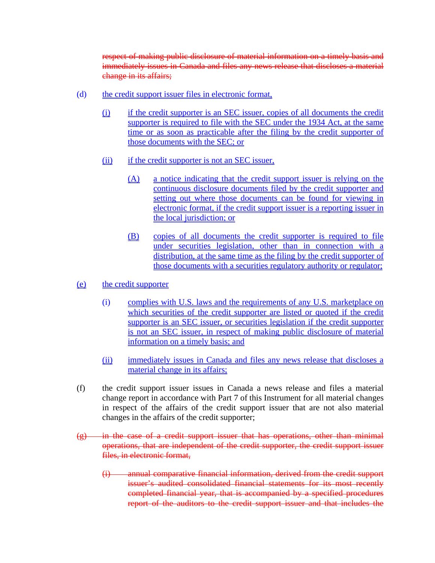respect of making public disclosure of material information on a timely basis and immediately issues in Canada and files any news release that discloses a material change in its affairs;

- (d) the credit support issuer files in electronic format,
	- (i) if the credit supporter is an SEC issuer, copies of all documents the credit supporter is required to file with the SEC under the 1934 Act, at the same time or as soon as practicable after the filing by the credit supporter of those documents with the SEC; or
	- (ii) if the credit supporter is not an SEC issuer,
		- (A) a notice indicating that the credit support issuer is relying on the continuous disclosure documents filed by the credit supporter and setting out where those documents can be found for viewing in electronic format, if the credit support issuer is a reporting issuer in the local jurisdiction; or
		- (B) copies of all documents the credit supporter is required to file under securities legislation, other than in connection with a distribution, at the same time as the filing by the credit supporter of those documents with a securities regulatory authority or regulator;
- (e) the credit supporter
	- (i) complies with U.S. laws and the requirements of any U.S. marketplace on which securities of the credit supporter are listed or quoted if the credit supporter is an SEC issuer, or securities legislation if the credit supporter is not an SEC issuer, in respect of making public disclosure of material information on a timely basis; and
	- (ii) immediately issues in Canada and files any news release that discloses a material change in its affairs;
- (f) the credit support issuer issues in Canada a news release and files a material change report in accordance with Part 7 of this Instrument for all material changes in respect of the affairs of the credit support issuer that are not also material changes in the affairs of the credit supporter;
- $(g)$  in the case of a credit support issuer that has operations, other than minimal operations, that are independent of the credit supporter, the credit support issuer files, in electronic format,
	- (i) annual comparative financial information, derived from the credit support issuer's audited consolidated financial statements for its most recently completed financial year, that is accompanied by a specified procedures report of the auditors to the credit support issuer and that includes the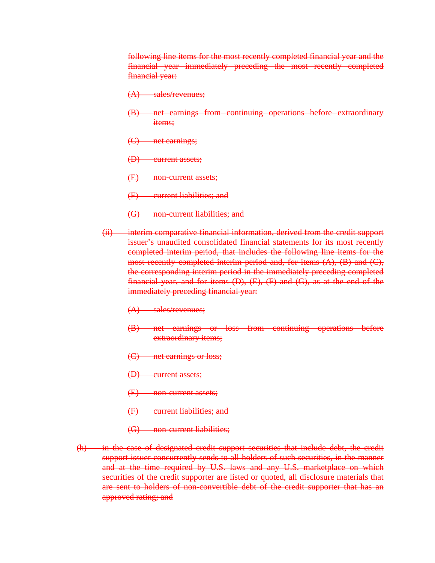following line items for the most recently completed financial year and the financial year immediately preceding the most recently completed financial year:

- (A) sales/revenues;
- (B) net earnings from continuing operations before extraordinary items;
- (C) net earnings;
- (D) current assets;
- (E) non-current assets;
- (F) current liabilities; and
- (G) non-current liabilities; and
- (ii) interim comparative financial information, derived from the credit support issuer's unaudited consolidated financial statements for its most recently completed interim period, that includes the following line items for the most recently completed interim period and, for items  $(A)$ ,  $(B)$  and  $(C)$ , the corresponding interim period in the immediately preceding completed financial year, and for items  $(D)$ ,  $(E)$ ,  $(F)$  and  $(G)$ , as at the end of the immediately preceding financial year:
	- (A) sales/revenues;
	- (B) net earnings or loss from continuing operations before extraordinary items;
	- (C) net earnings or loss;
	- (D) current assets;
	- (E) non-current assets;
	- (F) current liabilities; and
	- (G) non-current liabilities;
- (h) in the case of designated credit support securities that include debt, the credit support issuer concurrently sends to all holders of such securities, in the manner and at the time required by U.S. laws and any U.S. marketplace on which securities of the credit supporter are listed or quoted, all disclosure materials that are sent to holders of non-convertible debt of the credit supporter that has an approved rating; and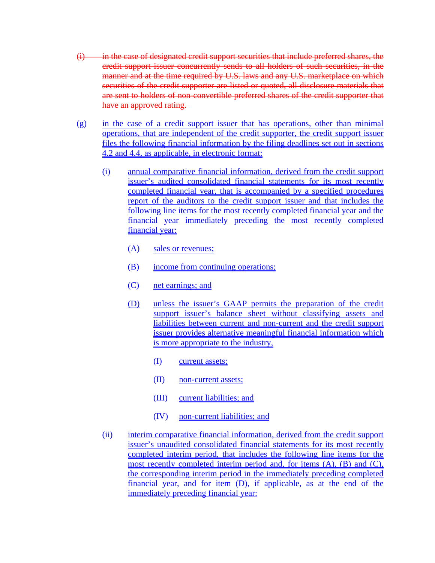- (i) in the case of designated credit support securities that include preferred shares, the credit support issuer concurrently sends to all holders of such securities, in the manner and at the time required by U.S. laws and any U.S. marketplace on which securities of the credit supporter are listed or quoted, all disclosure materials that are sent to holders of non-convertible preferred shares of the credit supporter that have an approved rating.
- (g) in the case of a credit support issuer that has operations, other than minimal operations, that are independent of the credit supporter, the credit support issuer files the following financial information by the filing deadlines set out in sections 4.2 and 4.4, as applicable, in electronic format:
	- (i) annual comparative financial information, derived from the credit support issuer's audited consolidated financial statements for its most recently completed financial year, that is accompanied by a specified procedures report of the auditors to the credit support issuer and that includes the following line items for the most recently completed financial year and the financial year immediately preceding the most recently completed financial year:
		- (A) sales or revenues;
		- (B) income from continuing operations;
		- (C) net earnings; and
		- (D) unless the issuer's GAAP permits the preparation of the credit support issuer's balance sheet without classifying assets and liabilities between current and non-current and the credit support issuer provides alternative meaningful financial information which is more appropriate to the industry,
			- (I) current assets;
			- (II) non-current assets;
			- (III) current liabilities; and
			- (IV) non-current liabilities; and
	- (ii) interim comparative financial information, derived from the credit support issuer's unaudited consolidated financial statements for its most recently completed interim period, that includes the following line items for the most recently completed interim period and, for items (A), (B) and (C), the corresponding interim period in the immediately preceding completed financial year, and for item (D), if applicable, as at the end of the immediately preceding financial year: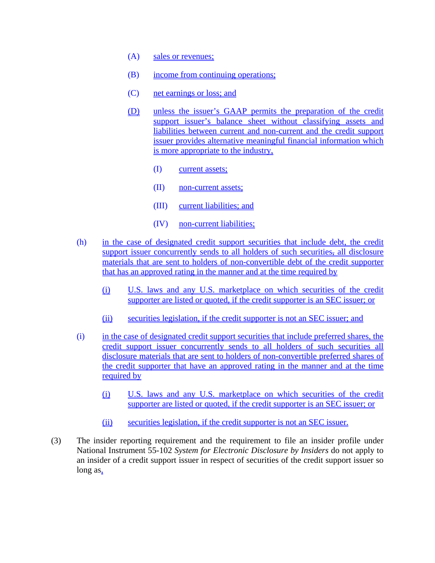- (A) sales or revenues;
- (B) income from continuing operations;
- (C) net earnings or loss; and
- (D) unless the issuer's GAAP permits the preparation of the credit support issuer's balance sheet without classifying assets and liabilities between current and non-current and the credit support issuer provides alternative meaningful financial information which is more appropriate to the industry,
	- (I) current assets;
	- (II) non-current assets;
	- (III) current liabilities; and
	- (IV) non-current liabilities;
- (h) in the case of designated credit support securities that include debt, the credit support issuer concurrently sends to all holders of such securities, all disclosure materials that are sent to holders of non-convertible debt of the credit supporter that has an approved rating in the manner and at the time required by
	- (i) U.S. laws and any U.S. marketplace on which securities of the credit supporter are listed or quoted, if the credit supporter is an SEC issuer; or
	- (ii) securities legislation, if the credit supporter is not an SEC issuer; and
- (i) in the case of designated credit support securities that include preferred shares, the credit support issuer concurrently sends to all holders of such securities all disclosure materials that are sent to holders of non-convertible preferred shares of the credit supporter that have an approved rating in the manner and at the time required by
	- (i) U.S. laws and any U.S. marketplace on which securities of the credit supporter are listed or quoted, if the credit supporter is an SEC issuer; or
	- (ii) securities legislation, if the credit supporter is not an SEC issuer.
- (3) The insider reporting requirement and the requirement to file an insider profile under National Instrument 55-102 *System for Electronic Disclosure by Insiders* do not apply to an insider of a credit support issuer in respect of securities of the credit support issuer so long as,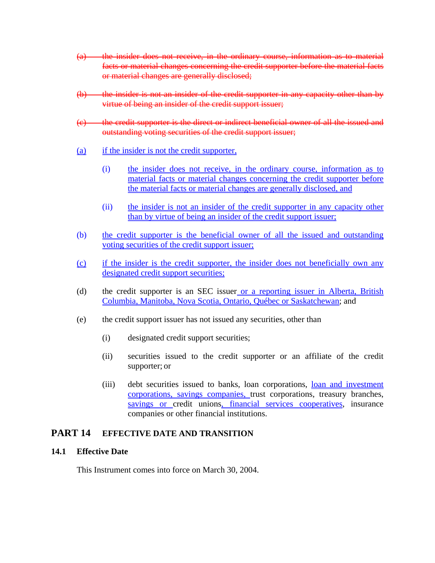- (a) the insider does not receive, in the ordinary course, information as to material facts or material changes concerning the credit supporter before the material facts or material changes are generally disclosed;
- (b) the insider is not an insider of the credit supporter in any capacity other than by virtue of being an insider of the credit support issuer;
- (c) the credit supporter is the direct or indirect beneficial owner of all the issued and outstanding voting securities of the credit support issuer;
- (a) if the insider is not the credit supporter,
	- (i) the insider does not receive, in the ordinary course, information as to material facts or material changes concerning the credit supporter before the material facts or material changes are generally disclosed, and
	- (ii) the insider is not an insider of the credit supporter in any capacity other than by virtue of being an insider of the credit support issuer;
- (b) the credit supporter is the beneficial owner of all the issued and outstanding voting securities of the credit support issuer;
- (c) if the insider is the credit supporter, the insider does not beneficially own any designated credit support securities;
- (d) the credit supporter is an SEC issuer or a reporting issuer in Alberta, British Columbia, Manitoba, Nova Scotia, Ontario, Québec or Saskatchewan; and
- (e) the credit support issuer has not issued any securities, other than
	- (i) designated credit support securities;
	- (ii) securities issued to the credit supporter or an affiliate of the credit supporter; or
	- (iii) debt securities issued to banks, loan corporations, loan and investment corporations, savings companies, trust corporations, treasury branches, savings or credit unions, financial services cooperatives, insurance companies or other financial institutions.

#### **PART 14 EFFECTIVE DATE AND TRANSITION**

#### **14.1 Effective Date**

This Instrument comes into force on March 30, 2004.